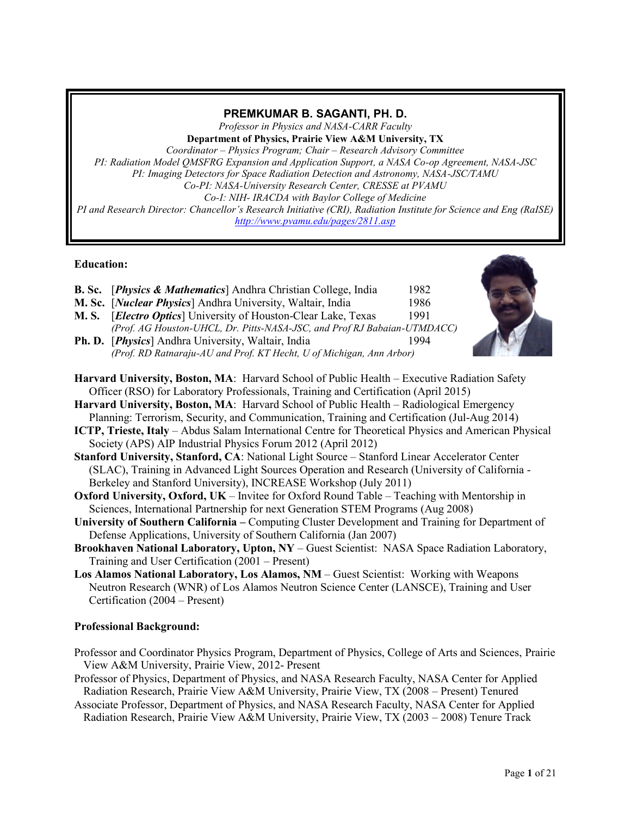# **PREMKUMAR B. SAGANTI, PH. D.**

*Professor in Physics and NASA-CARR Faculty* **Department of Physics, Prairie View A&M University, TX**

*Coordinator – Physics Program; Chair – Research Advisory Committee PI: Radiation Model QMSFRG Expansion and Application Support, a NASA Co-op Agreement, NASA-JSC PI: Imaging Detectors for Space Radiation Detection and Astronomy, NASA-JSC/TAMU Co-PI: NASA-University Research Center, CRESSE at PVAMU Co-I: NIH- IRACDA with Baylor College of Medicine PI and Research Director: Chancellor's Research Initiative (CRI), Radiation Institute for Science and Eng (RaISE) <http://www.pvamu.edu/pages/2811.asp>*

# **Education:**

- **B. Sc.** [*Physics & Mathematics*] Andhra Christian College, India 1982
- **M. Sc.** [*Nuclear Physics*] Andhra University, Waltair, India 1986
- **M. S.** [*Electro Optics*] University of Houston-Clear Lake, Texas 1991 *(Prof. AG Houston-UHCL, Dr. Pitts-NASA-JSC, and Prof RJ Babaian-UTMDACC)*
- **Ph. D.** [*Physics*] Andhra University, Waltair, India 1994 *(Prof. RD Ratnaraju-AU and Prof. KT Hecht, U of Michigan, Ann Arbor)*
- 
- **Harvard University, Boston, MA**: Harvard School of Public Health Executive Radiation Safety Officer (RSO) for Laboratory Professionals, Training and Certification (April 2015)
- **Harvard University, Boston, MA**: Harvard School of Public Health Radiological Emergency Planning: Terrorism, Security, and Communication, Training and Certification (Jul-Aug 2014)
- **ICTP, Trieste, Italy** Abdus Salam International Centre for Theoretical Physics and American Physical Society (APS) AIP Industrial Physics Forum 2012 (April 2012)
- **Stanford University, Stanford, CA**: National Light Source Stanford Linear Accelerator Center (SLAC), Training in Advanced Light Sources Operation and Research (University of California - Berkeley and Stanford University), INCREASE Workshop (July 2011)
- **Oxford University, Oxford, UK** Invitee for Oxford Round Table Teaching with Mentorship in Sciences, International Partnership for next Generation STEM Programs (Aug 2008)
- **University of Southern California –** Computing Cluster Development and Training for Department of Defense Applications, University of Southern California (Jan 2007)
- **Brookhaven National Laboratory, Upton, NY** Guest Scientist: NASA Space Radiation Laboratory, Training and User Certification (2001 – Present)
- **Los Alamos National Laboratory, Los Alamos, NM** Guest Scientist: Working with Weapons Neutron Research (WNR) of Los Alamos Neutron Science Center (LANSCE), Training and User Certification (2004 – Present)

# **Professional Background:**

- Professor and Coordinator Physics Program, Department of Physics, College of Arts and Sciences, Prairie View A&M University, Prairie View, 2012- Present
- Professor of Physics, Department of Physics, and NASA Research Faculty, NASA Center for Applied Radiation Research, Prairie View A&M University, Prairie View, TX (2008 – Present) Tenured
- Associate Professor, Department of Physics, and NASA Research Faculty, NASA Center for Applied Radiation Research, Prairie View A&M University, Prairie View, TX (2003 – 2008) Tenure Track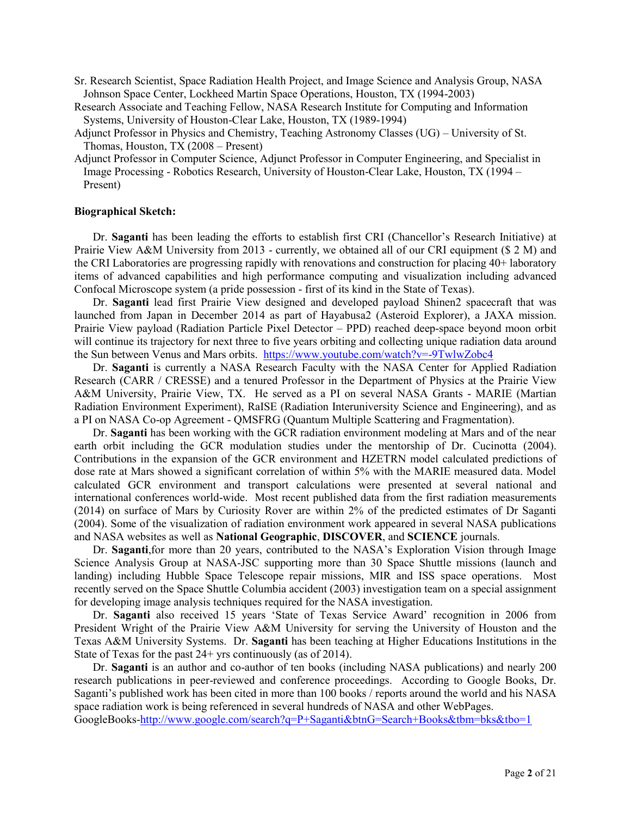- Sr. Research Scientist, Space Radiation Health Project, and Image Science and Analysis Group, NASA Johnson Space Center, Lockheed Martin Space Operations, Houston, TX (1994-2003)
- Research Associate and Teaching Fellow, NASA Research Institute for Computing and Information Systems, University of Houston-Clear Lake, Houston, TX (1989-1994)
- Adjunct Professor in Physics and Chemistry, Teaching Astronomy Classes (UG) University of St. Thomas, Houston, TX (2008 – Present)
- Adjunct Professor in Computer Science, Adjunct Professor in Computer Engineering, and Specialist in Image Processing - Robotics Research, University of Houston-Clear Lake, Houston, TX (1994 – Present)

## **Biographical Sketch:**

Dr. **Saganti** has been leading the efforts to establish first CRI (Chancellor's Research Initiative) at Prairie View A&M University from 2013 - currently, we obtained all of our CRI equipment (\$ 2 M) and the CRI Laboratories are progressing rapidly with renovations and construction for placing 40+ laboratory items of advanced capabilities and high performance computing and visualization including advanced Confocal Microscope system (a pride possession - first of its kind in the State of Texas).

Dr. **Saganti** lead first Prairie View designed and developed payload Shinen2 spacecraft that was launched from Japan in December 2014 as part of Hayabusa2 (Asteroid Explorer), a JAXA mission. Prairie View payload (Radiation Particle Pixel Detector – PPD) reached deep-space beyond moon orbit will continue its trajectory for next three to five years orbiting and collecting unique radiation data around the Sun between Venus and Mars orbits.<https://www.youtube.com/watch?v=-9TwlwZobc4>

Dr. **Saganti** is currently a NASA Research Faculty with the NASA Center for Applied Radiation Research (CARR / CRESSE) and a tenured Professor in the Department of Physics at the Prairie View A&M University, Prairie View, TX. He served as a PI on several NASA Grants - MARIE (Martian Radiation Environment Experiment), RaISE (Radiation Interuniversity Science and Engineering), and as a PI on NASA Co-op Agreement - QMSFRG (Quantum Multiple Scattering and Fragmentation).

Dr. **Saganti** has been working with the GCR radiation environment modeling at Mars and of the near earth orbit including the GCR modulation studies under the mentorship of Dr. Cucinotta (2004). Contributions in the expansion of the GCR environment and HZETRN model calculated predictions of dose rate at Mars showed a significant correlation of within 5% with the MARIE measured data. Model calculated GCR environment and transport calculations were presented at several national and international conferences world-wide. Most recent published data from the first radiation measurements (2014) on surface of Mars by Curiosity Rover are within 2% of the predicted estimates of Dr Saganti (2004). Some of the visualization of radiation environment work appeared in several NASA publications and NASA websites as well as **National Geographic**, **DISCOVER**, and **SCIENCE** journals.

Dr. **Saganti**,for more than 20 years, contributed to the NASA's Exploration Vision through Image Science Analysis Group at NASA-JSC supporting more than 30 Space Shuttle missions (launch and landing) including Hubble Space Telescope repair missions, MIR and ISS space operations. Most recently served on the Space Shuttle Columbia accident (2003) investigation team on a special assignment for developing image analysis techniques required for the NASA investigation.

Dr. **Saganti** also received 15 years 'State of Texas Service Award' recognition in 2006 from President Wright of the Prairie View A&M University for serving the University of Houston and the Texas A&M University Systems. Dr. **Saganti** has been teaching at Higher Educations Institutions in the State of Texas for the past 24+ yrs continuously (as of 2014).

Dr. **Saganti** is an author and co-author of ten books (including NASA publications) and nearly 200 research publications in peer-reviewed and conference proceedings. According to Google Books, Dr. Saganti's published work has been cited in more than 100 books / reports around the world and his NASA space radiation work is being referenced in several hundreds of NASA and other WebPages. GoogleBooks[-http://www.google.com/search?q=P+Saganti&btnG=Search+Books&tbm=bks&tbo=1](http://www.google.com/search?q=P+Saganti&btnG=Search+Books&tbm=bks&tbo=1)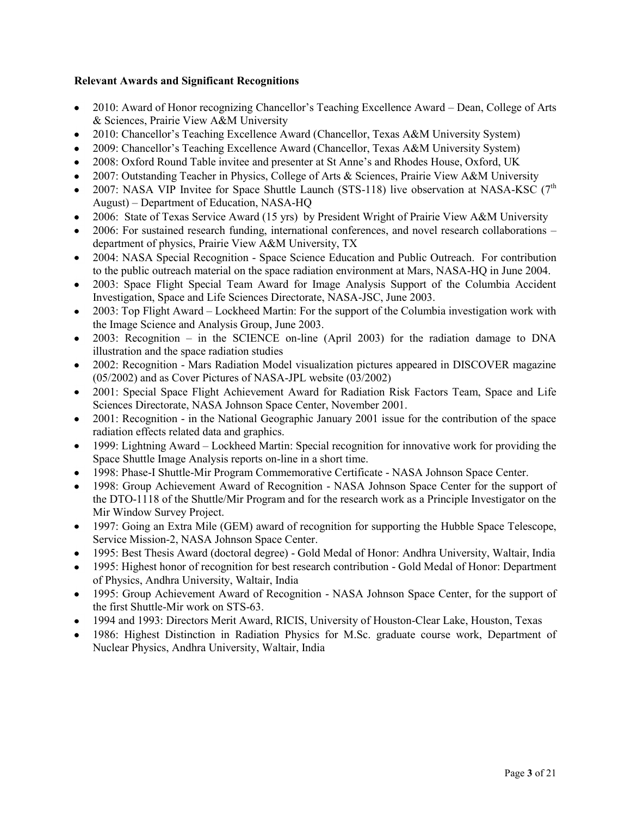# **Relevant Awards and Significant Recognitions**

- 2010: Award of Honor recognizing Chancellor's Teaching Excellence Award Dean, College of Arts  $\bullet$ & Sciences, Prairie View A&M University
- 2010: Chancellor's Teaching Excellence Award (Chancellor, Texas A&M University System)  $\bullet$
- 2009: Chancellor's Teaching Excellence Award (Chancellor, Texas A&M University System)  $\bullet$
- 2008: Oxford Round Table invitee and presenter at St Anne's and Rhodes House, Oxford, UK
- 2007: Outstanding Teacher in Physics, College of Arts & Sciences, Prairie View A&M University  $\bullet$
- 2007: NASA VIP Invitee for Space Shuttle Launch (STS-118) live observation at NASA-KSC  $(7<sup>th</sup>$  $\bullet$ August) – Department of Education, NASA-HQ
- 2006: State of Texas Service Award (15 yrs) by President Wright of Prairie View A&M University
- 2006: For sustained research funding, international conferences, and novel research collaborations department of physics, Prairie View A&M University, TX
- 2004: NASA Special Recognition Space Science Education and Public Outreach. For contribution  $\bullet$ to the public outreach material on the space radiation environment at Mars, NASA-HQ in June 2004.
- 2003: Space Flight Special Team Award for Image Analysis Support of the Columbia Accident  $\bullet$ Investigation, Space and Life Sciences Directorate, NASA-JSC, June 2003.
- 2003: Top Flight Award Lockheed Martin: For the support of the Columbia investigation work with the Image Science and Analysis Group, June 2003.
- 2003: Recognition in the SCIENCE on-line (April 2003) for the radiation damage to DNA  $\bullet$ illustration and the space radiation studies
- 2002: Recognition Mars Radiation Model visualization pictures appeared in DISCOVER magazine  $\bullet$ (05/2002) and as Cover Pictures of NASA-JPL website (03/2002)
- 2001: Special Space Flight Achievement Award for Radiation Risk Factors Team, Space and Life  $\bullet$ Sciences Directorate, NASA Johnson Space Center, November 2001.
- 2001: Recognition in the National Geographic January 2001 issue for the contribution of the space  $\bullet$ radiation effects related data and graphics.
- 1999: Lightning Award Lockheed Martin: Special recognition for innovative work for providing the Space Shuttle Image Analysis reports on-line in a short time.
- 1998: Phase-I Shuttle-Mir Program Commemorative Certificate NASA Johnson Space Center.
- 1998: Group Achievement Award of Recognition NASA Johnson Space Center for the support of the DTO-1118 of the Shuttle/Mir Program and for the research work as a Principle Investigator on the Mir Window Survey Project.
- 1997: Going an Extra Mile (GEM) award of recognition for supporting the Hubble Space Telescope, Service Mission-2, NASA Johnson Space Center.
- 1995: Best Thesis Award (doctoral degree) Gold Medal of Honor: Andhra University, Waltair, India
- 1995: Highest honor of recognition for best research contribution Gold Medal of Honor: Department of Physics, Andhra University, Waltair, India
- 1995: Group Achievement Award of Recognition NASA Johnson Space Center, for the support of the first Shuttle-Mir work on STS-63.
- 1994 and 1993: Directors Merit Award, RICIS, University of Houston-Clear Lake, Houston, Texas
- 1986: Highest Distinction in Radiation Physics for M.Sc. graduate course work, Department of Nuclear Physics, Andhra University, Waltair, India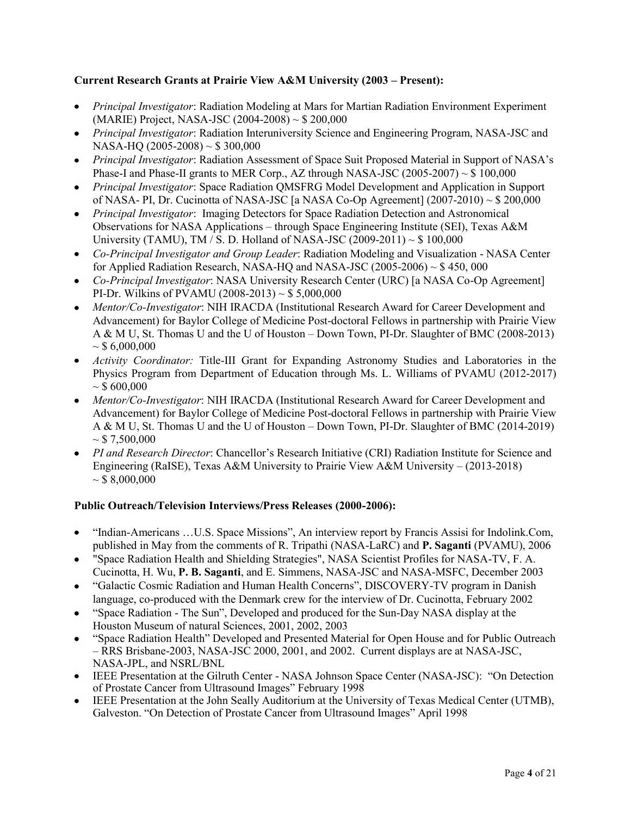# **Current Research Grants at Prairie View A&M University (2003 – Present):**

- *Principal Investigator*: Radiation Modeling at Mars for Martian Radiation Environment Experiment (MARIE) Project, NASA-JSC (2004-2008) ~ \$ 200,000
- *Principal Investigator*: Radiation Interuniversity Science and Engineering Program, NASA-JSC and NASA-HQ (2005-2008) ~ \$ 300,000
- *Principal Investigator*: Radiation Assessment of Space Suit Proposed Material in Support of NASA's Phase-I and Phase-II grants to MER Corp., AZ through NASA-JSC  $(2005-2007) \sim $100,000$
- *Principal Investigator*: Space Radiation QMSFRG Model Development and Application in Support of NASA- PI, Dr. Cucinotta of NASA-JSC [a NASA Co-Op Agreement] (2007-2010) ~ \$ 200,000
- *Principal Investigator*: Imaging Detectors for Space Radiation Detection and Astronomical Observations for NASA Applications – through Space Engineering Institute (SEI), Texas A&M University (TAMU), TM / S. D. Holland of NASA-JSC (2009-2011)  $\sim$  \$ 100,000
- *Co-Principal Investigator and Group Leader*: Radiation Modeling and Visualization NASA Center for Applied Radiation Research, NASA-HQ and NASA-JSC  $(2005-2006) \sim $450,000$
- *Co-Principal Investigator*: NASA University Research Center (URC) [a NASA Co-Op Agreement] PI-Dr. Wilkins of PVAMU (2008-2013)  $\sim$  \$ 5,000,000
- *Mentor/Co-Investigator*: NIH IRACDA (Institutional Research Award for Career Development and Advancement) for Baylor College of Medicine Post-doctoral Fellows in partnership with Prairie View A & M U, St. Thomas U and the U of Houston – Down Town, PI-Dr. Slaughter of BMC (2008-2013)  $\sim$  \$ 6,000,000
- *Activity Coordinator:* Title-III Grant for Expanding Astronomy Studies and Laboratories in the Physics Program from Department of Education through Ms. L. Williams of PVAMU (2012-2017)  $\sim$  \$ 600,000
- *Mentor/Co-Investigator*: NIH IRACDA (Institutional Research Award for Career Development and Advancement) for Baylor College of Medicine Post-doctoral Fellows in partnership with Prairie View A & M U, St. Thomas U and the U of Houston – Down Town, PI-Dr. Slaughter of BMC (2014-2019)  $\sim$  \$ 7,500,000
- *PI and Research Director*: Chancellor's Research Initiative (CRI) Radiation Institute for Science and Engineering (RaISE), Texas A&M University to Prairie View A&M University – (2013-2018)  $\sim$  \$ 8,000,000

# **Public Outreach/Television Interviews/Press Releases (2000-2006):**

- "Indian-Americans …U.S. Space Missions", An interview report by Francis Assisi for Indolink.Com,  $\bullet$ published in May from the comments of R. Tripathi (NASA-LaRC) and **P. Saganti** (PVAMU), 2006
- "Space Radiation Health and Shielding Strategies", NASA Scientist Profiles for NASA-TV, F. A. Cucinotta, H. Wu, **P. B. Saganti**, and E. Simmens, NASA-JSC and NASA-MSFC, December 2003
- "Galactic Cosmic Radiation and Human Health Concerns", DISCOVERY-TV program in Danish language, co-produced with the Denmark crew for the interview of Dr. Cucinotta, February 2002
- "Space Radiation The Sun", Developed and produced for the Sun-Day NASA display at the Houston Museum of natural Sciences, 2001, 2002, 2003
- "Space Radiation Health" Developed and Presented Material for Open House and for Public Outreach – RRS Brisbane-2003, NASA-JSC 2000, 2001, and 2002. Current displays are at NASA-JSC, NASA-JPL, and NSRL/BNL
- IEEE Presentation at the Gilruth Center NASA Johnson Space Center (NASA-JSC): "On Detection of Prostate Cancer from Ultrasound Images" February 1998
- IEEE Presentation at the John Seally Auditorium at the University of Texas Medical Center (UTMB),  $\bullet$ Galveston. "On Detection of Prostate Cancer from Ultrasound Images" April 1998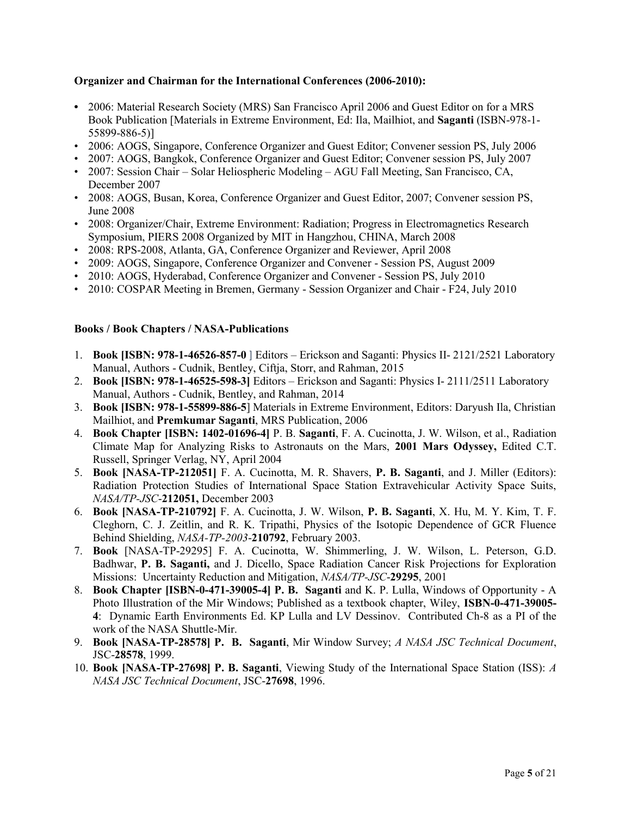# **Organizer and Chairman for the International Conferences (2006-2010):**

- **•** 2006: Material Research Society (MRS) San Francisco April 2006 and Guest Editor on for a MRS Book Publication [Materials in Extreme Environment, Ed: Ila, Mailhiot, and **Saganti** (ISBN-978-1- 55899-886-5)]
- 2006: AOGS, Singapore, Conference Organizer and Guest Editor; Convener session PS, July 2006
- 2007: AOGS, Bangkok, Conference Organizer and Guest Editor; Convener session PS, July 2007
- 2007: Session Chair Solar Heliospheric Modeling AGU Fall Meeting, San Francisco, CA, December 2007
- 2008: AOGS, Busan, Korea, Conference Organizer and Guest Editor, 2007; Convener session PS, June 2008
- 2008: Organizer/Chair, Extreme Environment: Radiation; Progress in Electromagnetics Research Symposium, PIERS 2008 Organized by MIT in Hangzhou, CHINA, March 2008
- 2008: RPS-2008, Atlanta, GA, Conference Organizer and Reviewer, April 2008
- 2009: AOGS, Singapore, Conference Organizer and Convener Session PS, August 2009
- 2010: AOGS, Hyderabad, Conference Organizer and Convener Session PS, July 2010
- 2010: COSPAR Meeting in Bremen, Germany Session Organizer and Chair F24, July 2010

# **Books / Book Chapters / NASA-Publications**

- 1. **Book [ISBN: 978-1-46526-857-0** ] Editors Erickson and Saganti: Physics II- 2121/2521 Laboratory Manual, Authors - Cudnik, Bentley, Ciftja, Storr, and Rahman, 2015
- 2. **Book [ISBN: 978-1-46525-598-3]** Editors Erickson and Saganti: Physics I- 2111/2511 Laboratory Manual, Authors - Cudnik, Bentley, and Rahman, 2014
- 3. **Book [ISBN: 978-1-55899-886-5**] Materials in Extreme Environment, Editors: Daryush Ila, Christian Mailhiot, and **Premkumar Saganti**, MRS Publication, 2006
- 4. **Book Chapter [ISBN: 1402-01696-4]** P. B. **Saganti**, F. A. Cucinotta, J. W. Wilson, et al., Radiation Climate Map for Analyzing Risks to Astronauts on the Mars, **2001 Mars Odyssey,** Edited C.T. Russell, Springer Verlag, NY, April 2004
- 5. **Book [NASA-TP-212051]** F. A. Cucinotta, M. R. Shavers, **P. B. Saganti**, and J. Miller (Editors): Radiation Protection Studies of International Space Station Extravehicular Activity Space Suits, *NASA/TP-JSC*-**212051,** December 2003
- 6. **Book [NASA-TP-210792]** F. A. Cucinotta, J. W. Wilson, **P. B. Saganti**, X. Hu, M. Y. Kim, T. F. Cleghorn, C. J. Zeitlin, and R. K. Tripathi, Physics of the Isotopic Dependence of GCR Fluence Behind Shielding, *NASA-TP-2003*-**210792**, February 2003.
- 7. **Book** [NASA-TP-29295] F. A. Cucinotta, W. Shimmerling, J. W. Wilson, L. Peterson, G.D. Badhwar, **P. B. Saganti,** and J. Dicello, Space Radiation Cancer Risk Projections for Exploration Missions: Uncertainty Reduction and Mitigation, *NASA/TP-JSC*-**29295**, 2001
- 8. **Book Chapter [ISBN-0-471-39005-4] P. B. Saganti** and K. P. Lulla, Windows of Opportunity A Photo Illustration of the Mir Windows; Published as a textbook chapter, Wiley, **ISBN-0-471-39005- 4**: Dynamic Earth Environments Ed. KP Lulla and LV Dessinov. Contributed Ch-8 as a PI of the work of the NASA Shuttle-Mir.
- 9. **Book [NASA-TP-28578] P. B. Saganti**, Mir Window Survey; *A NASA JSC Technical Document*, JSC-**28578**, 1999.
- 10. **Book [NASA-TP-27698] P. B. Saganti**, Viewing Study of the International Space Station (ISS): *A NASA JSC Technical Document*, JSC-**27698**, 1996.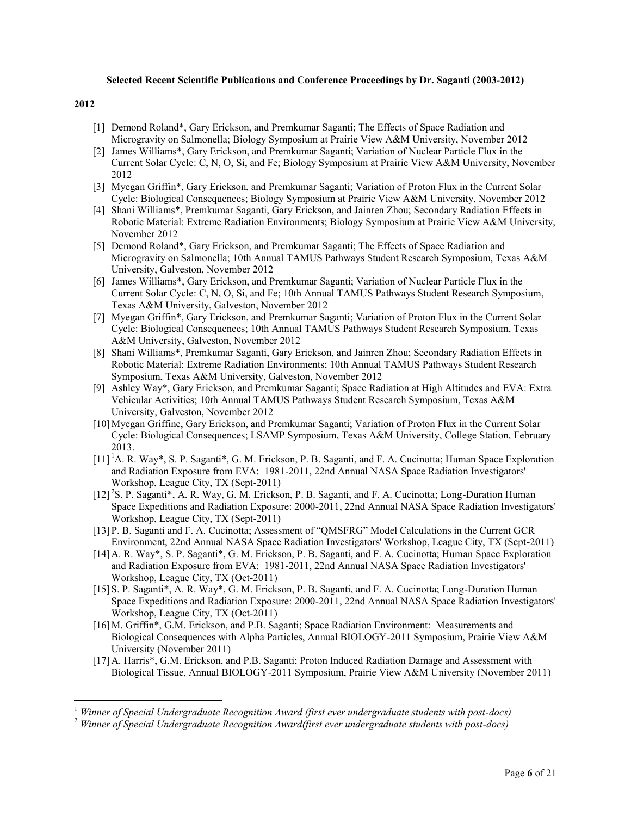#### **Selected Recent Scientific Publications and Conference Proceedings by Dr. Saganti (2003-2012)**

#### **2012**

- [1] Demond Roland\*, Gary Erickson, and Premkumar Saganti; The Effects of Space Radiation and Microgravity on Salmonella; Biology Symposium at Prairie View A&M University, November 2012
- [2] James Williams\*, Gary Erickson, and Premkumar Saganti; Variation of Nuclear Particle Flux in the Current Solar Cycle: C, N, O, Si, and Fe; Biology Symposium at Prairie View A&M University, November 2012
- [3] Myegan Griffin\*, Gary Erickson, and Premkumar Saganti; Variation of Proton Flux in the Current Solar Cycle: Biological Consequences; Biology Symposium at Prairie View A&M University, November 2012
- [4] Shani Williams\*, Premkumar Saganti, Gary Erickson, and Jainren Zhou; Secondary Radiation Effects in Robotic Material: Extreme Radiation Environments; Biology Symposium at Prairie View A&M University, November 2012
- [5] Demond Roland\*, Gary Erickson, and Premkumar Saganti; The Effects of Space Radiation and Microgravity on Salmonella; 10th Annual TAMUS Pathways Student Research Symposium, Texas A&M University, Galveston, November 2012
- [6] James Williams\*, Gary Erickson, and Premkumar Saganti; Variation of Nuclear Particle Flux in the Current Solar Cycle: C, N, O, Si, and Fe; 10th Annual TAMUS Pathways Student Research Symposium, Texas A&M University, Galveston, November 2012
- [7] Myegan Griffin\*, Gary Erickson, and Premkumar Saganti; Variation of Proton Flux in the Current Solar Cycle: Biological Consequences; 10th Annual TAMUS Pathways Student Research Symposium, Texas A&M University, Galveston, November 2012
- [8] Shani Williams\*, Premkumar Saganti, Gary Erickson, and Jainren Zhou; Secondary Radiation Effects in Robotic Material: Extreme Radiation Environments; 10th Annual TAMUS Pathways Student Research Symposium, Texas A&M University, Galveston, November 2012
- [9] Ashley Way\*, Gary Erickson, and Premkumar Saganti; Space Radiation at High Altitudes and EVA: Extra Vehicular Activities; 10th Annual TAMUS Pathways Student Research Symposium, Texas A&M University, Galveston, November 2012
- [10]Myegan Griffinc, Gary Erickson, and Premkumar Saganti; Variation of Proton Flux in the Current Solar Cycle: Biological Consequences; LSAMP Symposium, Texas A&M University, College Station, February 2013.
- [11]<sup>1</sup>A. R. Way\*, S. P. Saganti\*, G. M. Erickson, P. B. Saganti, and F. A. Cucinotta; Human Space Exploration and Radiation Exposure from EVA: 1981-2011, 22nd Annual NASA Space Radiation Investigators' Workshop, League City, TX (Sept-2011)
- [12]<sup>2</sup>S. P. Saganti\*, A. R. Way, G. M. Erickson, P. B. Saganti, and F. A. Cucinotta; Long-Duration Human Space Expeditions and Radiation Exposure: 2000-2011, 22nd Annual NASA Space Radiation Investigators' Workshop, League City, TX (Sept-2011)
- [13]P. B. Saganti and F. A. Cucinotta; Assessment of "QMSFRG" Model Calculations in the Current GCR Environment, 22nd Annual NASA Space Radiation Investigators' Workshop, League City, TX (Sept-2011)
- [14]A. R. Way\*, S. P. Saganti\*, G. M. Erickson, P. B. Saganti, and F. A. Cucinotta; Human Space Exploration and Radiation Exposure from EVA: 1981-2011, 22nd Annual NASA Space Radiation Investigators' Workshop, League City, TX (Oct-2011)
- [15]S. P. Saganti\*, A. R. Way\*, G. M. Erickson, P. B. Saganti, and F. A. Cucinotta; Long-Duration Human Space Expeditions and Radiation Exposure: 2000-2011, 22nd Annual NASA Space Radiation Investigators' Workshop, League City, TX (Oct-2011)
- [16]M. Griffin\*, G.M. Erickson, and P.B. Saganti; Space Radiation Environment: Measurements and Biological Consequences with Alpha Particles, Annual BIOLOGY-2011 Symposium, Prairie View A&M University (November 2011)
- [17]A. Harris\*, G.M. Erickson, and P.B. Saganti; Proton Induced Radiation Damage and Assessment with Biological Tissue, Annual BIOLOGY-2011 Symposium, Prairie View A&M University (November 2011)

<sup>1</sup> *Winner of Special Undergraduate Recognition Award (first ever undergraduate students with post-docs)*

<sup>2</sup> *Winner of Special Undergraduate Recognition Award(first ever undergraduate students with post-docs)*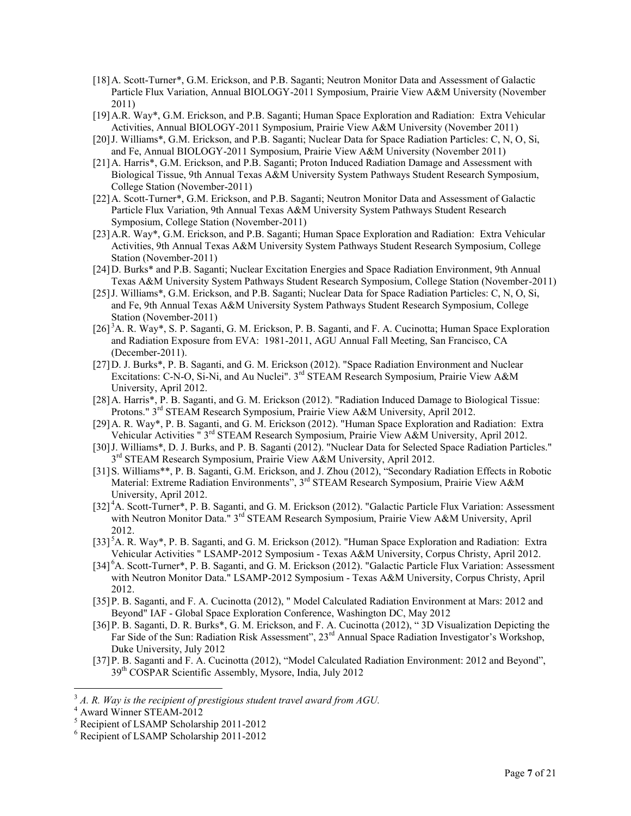- [18]A. Scott-Turner\*, G.M. Erickson, and P.B. Saganti; Neutron Monitor Data and Assessment of Galactic Particle Flux Variation, Annual BIOLOGY-2011 Symposium, Prairie View A&M University (November 2011)
- [19]A.R. Way\*, G.M. Erickson, and P.B. Saganti; Human Space Exploration and Radiation: Extra Vehicular Activities, Annual BIOLOGY-2011 Symposium, Prairie View A&M University (November 2011)
- [20]J. Williams\*, G.M. Erickson, and P.B. Saganti; Nuclear Data for Space Radiation Particles: C, N, O, Si, and Fe, Annual BIOLOGY-2011 Symposium, Prairie View A&M University (November 2011)
- [21]A. Harris\*, G.M. Erickson, and P.B. Saganti; Proton Induced Radiation Damage and Assessment with Biological Tissue, 9th Annual Texas A&M University System Pathways Student Research Symposium, College Station (November-2011)
- [22]A. Scott-Turner\*, G.M. Erickson, and P.B. Saganti; Neutron Monitor Data and Assessment of Galactic Particle Flux Variation, 9th Annual Texas A&M University System Pathways Student Research Symposium, College Station (November-2011)
- [23]A.R. Way\*, G.M. Erickson, and P.B. Saganti; Human Space Exploration and Radiation: Extra Vehicular Activities, 9th Annual Texas A&M University System Pathways Student Research Symposium, College Station (November-2011)
- [24]D. Burks\* and P.B. Saganti; Nuclear Excitation Energies and Space Radiation Environment, 9th Annual Texas A&M University System Pathways Student Research Symposium, College Station (November-2011)
- [25]J. Williams\*, G.M. Erickson, and P.B. Saganti; Nuclear Data for Space Radiation Particles: C, N, O, Si, and Fe, 9th Annual Texas A&M University System Pathways Student Research Symposium, College Station (November-2011)
- [26]<sup>3</sup>A. R. Way\*, S. P. Saganti, G. M. Erickson, P. B. Saganti, and F. A. Cucinotta; Human Space Exploration and Radiation Exposure from EVA: 1981-2011, AGU Annual Fall Meeting, San Francisco, CA (December-2011).
- [27]D. J. Burks\*, P. B. Saganti, and G. M. Erickson (2012). "Space Radiation Environment and Nuclear Excitations: C-N-O, Si-Ni, and Au Nuclei".  $3<sup>rd</sup>$  STEAM Research Symposium, Prairie View A&M University, April 2012.
- [28]A. Harris\*, P. B. Saganti, and G. M. Erickson (2012). "Radiation Induced Damage to Biological Tissue: Protons." 3<sup>rd</sup> STEAM Research Symposium, Prairie View A&M University, April 2012.
- [29]A. R. Way\*, P. B. Saganti, and G. M. Erickson (2012). "Human Space Exploration and Radiation: Extra Vehicular Activities " 3<sup>rd</sup> STEAM Research Symposium, Prairie View A&M University, April 2012.
- [30] J. Williams\*, D. J. Burks, and P. B. Saganti (2012). "Nuclear Data for Selected Space Radiation Particles." 3<sup>rd</sup> STEAM Research Symposium, Prairie View A&M University, April 2012.
- [31]S. Williams\*\*, P. B. Saganti, G.M. Erickson, and J. Zhou (2012), "Secondary Radiation Effects in Robotic Material: Extreme Radiation Environments", 3<sup>rd</sup> STEAM Research Symposium, Prairie View A&M University, April 2012.
- [32]<sup>4</sup>A. Scott-Turner\*, P. B. Saganti, and G. M. Erickson (2012). "Galactic Particle Flux Variation: Assessment with Neutron Monitor Data." 3<sup>rd</sup> STEAM Research Symposium, Prairie View A&M University, April 2012.
- [33]<sup>5</sup>A. R. Way\*, P. B. Saganti, and G. M. Erickson (2012). "Human Space Exploration and Radiation: Extra Vehicular Activities " LSAMP-2012 Symposium - Texas A&M University, Corpus Christy, April 2012.
- [34]<sup>6</sup>A. Scott-Turner\*, P. B. Saganti, and G. M. Erickson (2012). "Galactic Particle Flux Variation: Assessment with Neutron Monitor Data." LSAMP-2012 Symposium - Texas A&M University, Corpus Christy, April 2012.
- [35]P. B. Saganti, and F. A. Cucinotta (2012), " Model Calculated Radiation Environment at Mars: 2012 and Beyond" IAF - Global Space Exploration Conference, Washington DC, May 2012
- [36]P. B. Saganti, D. R. Burks\*, G. M. Erickson, and F. A. Cucinotta (2012), " 3D Visualization Depicting the Far Side of the Sun: Radiation Risk Assessment", 23<sup>rd</sup> Annual Space Radiation Investigator's Workshop, Duke University, July 2012
- [37]P. B. Saganti and F. A. Cucinotta (2012), "Model Calculated Radiation Environment: 2012 and Beyond", 39th COSPAR Scientific Assembly, Mysore, India, July 2012

<sup>3</sup> *A. R. Way is the recipient of prestigious student travel award from AGU.*

<sup>&</sup>lt;sup>4</sup> Award Winner STEAM-2012

<sup>5</sup> Recipient of LSAMP Scholarship 2011-2012

<sup>&</sup>lt;sup>6</sup> Recipient of LSAMP Scholarship 2011-2012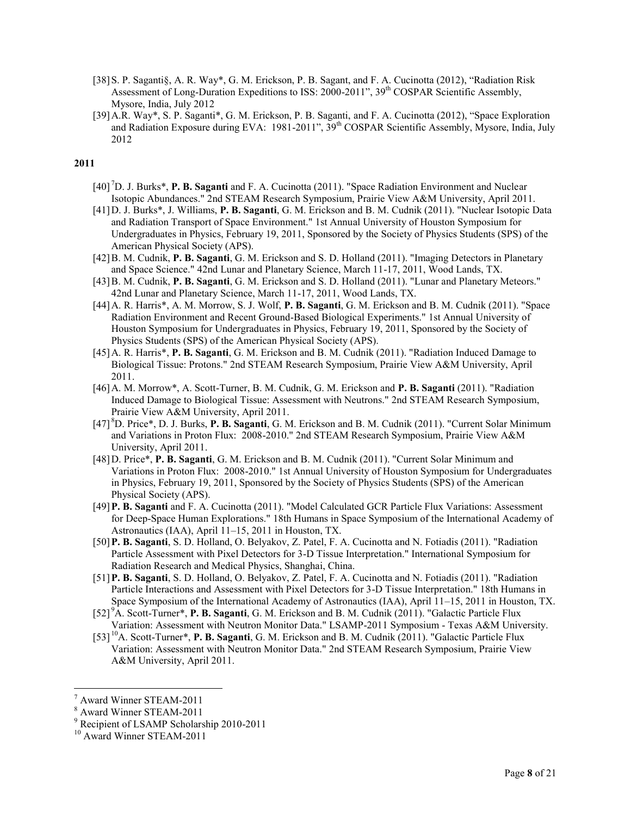- [38]S. P. Saganti§, A. R. Way\*, G. M. Erickson, P. B. Sagant, and F. A. Cucinotta (2012), "Radiation Risk Assessment of Long-Duration Expeditions to ISS: 2000-2011", 39<sup>th</sup> COSPAR Scientific Assembly, Mysore, India, July 2012
- [39]A.R. Way\*, S. P. Saganti\*, G. M. Erickson, P. B. Saganti, and F. A. Cucinotta (2012), "Space Exploration and Radiation Exposure during EVA: 1981-2011", 39<sup>th</sup> COSPAR Scientific Assembly, Mysore, India, July 2012

- [40] <sup>7</sup>D. J. Burks\*, **P. B. Saganti** and F. A. Cucinotta (2011). "Space Radiation Environment and Nuclear Isotopic Abundances." 2nd STEAM Research Symposium, Prairie View A&M University, April 2011.
- [41]D. J. Burks\*, J. Williams, **P. B. Saganti**, G. M. Erickson and B. M. Cudnik (2011). "Nuclear Isotopic Data and Radiation Transport of Space Environment." 1st Annual University of Houston Symposium for Undergraduates in Physics, February 19, 2011, Sponsored by the Society of Physics Students (SPS) of the American Physical Society (APS).
- [42]B. M. Cudnik, **P. B. Saganti**, G. M. Erickson and S. D. Holland (2011). "Imaging Detectors in Planetary and Space Science." 42nd Lunar and Planetary Science, March 11-17, 2011, Wood Lands, TX.
- [43]B. M. Cudnik, **P. B. Saganti**, G. M. Erickson and S. D. Holland (2011). "Lunar and Planetary Meteors." 42nd Lunar and Planetary Science, March 11-17, 2011, Wood Lands, TX.
- [44]A. R. Harris\*, A. M. Morrow, S. J. Wolf, **P. B. Saganti**, G. M. Erickson and B. M. Cudnik (2011). "Space Radiation Environment and Recent Ground-Based Biological Experiments." 1st Annual University of Houston Symposium for Undergraduates in Physics, February 19, 2011, Sponsored by the Society of Physics Students (SPS) of the American Physical Society (APS).
- [45]A. R. Harris\*, **P. B. Saganti**, G. M. Erickson and B. M. Cudnik (2011). "Radiation Induced Damage to Biological Tissue: Protons." 2nd STEAM Research Symposium, Prairie View A&M University, April 2011.
- [46]A. M. Morrow\*, A. Scott-Turner, B. M. Cudnik, G. M. Erickson and **P. B. Saganti** (2011). "Radiation Induced Damage to Biological Tissue: Assessment with Neutrons." 2nd STEAM Research Symposium, Prairie View A&M University, April 2011.
- [47] <sup>8</sup>D. Price\*, D. J. Burks, **P. B. Saganti**, G. M. Erickson and B. M. Cudnik (2011). "Current Solar Minimum and Variations in Proton Flux: 2008-2010." 2nd STEAM Research Symposium, Prairie View A&M University, April 2011.
- [48]D. Price\*, **P. B. Saganti**, G. M. Erickson and B. M. Cudnik (2011). "Current Solar Minimum and Variations in Proton Flux: 2008-2010." 1st Annual University of Houston Symposium for Undergraduates in Physics, February 19, 2011, Sponsored by the Society of Physics Students (SPS) of the American Physical Society (APS).
- [49]**P. B. Saganti** and F. A. Cucinotta (2011). "Model Calculated GCR Particle Flux Variations: Assessment for Deep-Space Human Explorations." 18th Humans in Space Symposium of the International Academy of Astronautics (IAA), April 11–15, 2011 in Houston, TX.
- [50]**P. B. Saganti**, S. D. Holland, O. Belyakov, Z. Patel, F. A. Cucinotta and N. Fotiadis (2011). "Radiation Particle Assessment with Pixel Detectors for 3-D Tissue Interpretation." International Symposium for Radiation Research and Medical Physics, Shanghai, China.
- [51]**P. B. Saganti**, S. D. Holland, O. Belyakov, Z. Patel, F. A. Cucinotta and N. Fotiadis (2011). "Radiation Particle Interactions and Assessment with Pixel Detectors for 3-D Tissue Interpretation." 18th Humans in Space Symposium of the International Academy of Astronautics (IAA), April 11–15, 2011 in Houston, TX.
- [52] <sup>9</sup>A. Scott-Turner\*, **P. B. Saganti**, G. M. Erickson and B. M. Cudnik (2011). "Galactic Particle Flux Variation: Assessment with Neutron Monitor Data." LSAMP-2011 Symposium - Texas A&M University.
- [53] <sup>10</sup>A. Scott-Turner\*, **P. B. Saganti**, G. M. Erickson and B. M. Cudnik (2011). "Galactic Particle Flux Variation: Assessment with Neutron Monitor Data." 2nd STEAM Research Symposium, Prairie View A&M University, April 2011.

<sup>7</sup> Award Winner STEAM-2011

<sup>&</sup>lt;sup>8</sup> Award Winner STEAM-2011

<sup>&</sup>lt;sup>9</sup> Recipient of LSAMP Scholarship 2010-2011

<sup>10</sup> Award Winner STEAM-2011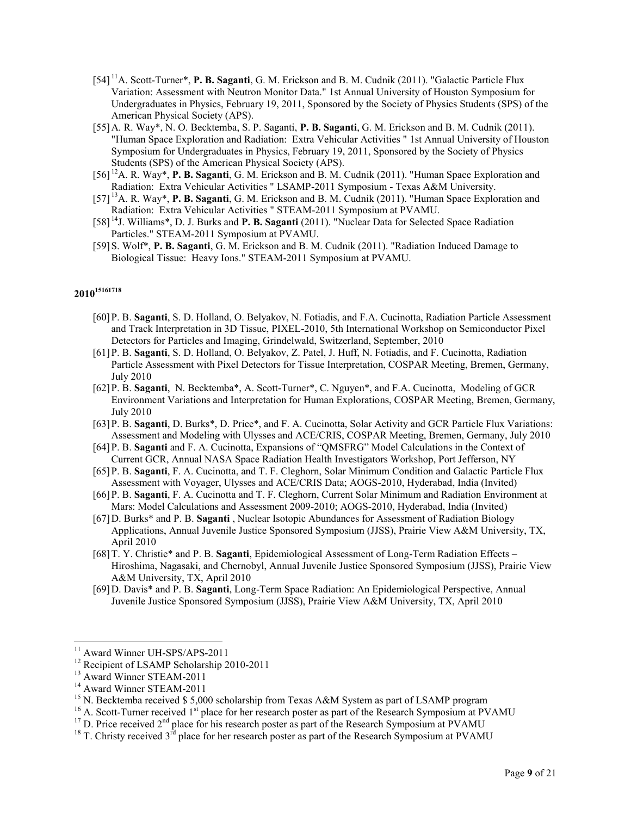- [54] <sup>11</sup>A. Scott-Turner\*, **P. B. Saganti**, G. M. Erickson and B. M. Cudnik (2011). "Galactic Particle Flux Variation: Assessment with Neutron Monitor Data." 1st Annual University of Houston Symposium for Undergraduates in Physics, February 19, 2011, Sponsored by the Society of Physics Students (SPS) of the American Physical Society (APS).
- [55]A. R. Way\*, N. O. Becktemba, S. P. Saganti, **P. B. Saganti**, G. M. Erickson and B. M. Cudnik (2011). "Human Space Exploration and Radiation: Extra Vehicular Activities " 1st Annual University of Houston Symposium for Undergraduates in Physics, February 19, 2011, Sponsored by the Society of Physics Students (SPS) of the American Physical Society (APS).
- [56] <sup>12</sup>A. R. Way\*, **P. B. Saganti**, G. M. Erickson and B. M. Cudnik (2011). "Human Space Exploration and Radiation: Extra Vehicular Activities " LSAMP-2011 Symposium - Texas A&M University.
- [57] <sup>13</sup>A. R. Way\*, **P. B. Saganti**, G. M. Erickson and B. M. Cudnik (2011). "Human Space Exploration and Radiation: Extra Vehicular Activities " STEAM-2011 Symposium at PVAMU.
- [58] <sup>14</sup>J. Williams\*, D. J. Burks and **P. B. Saganti** (2011). "Nuclear Data for Selected Space Radiation Particles." STEAM-2011 Symposium at PVAMU.
- [59]S. Wolf\*, **P. B. Saganti**, G. M. Erickson and B. M. Cudnik (2011). "Radiation Induced Damage to Biological Tissue: Heavy Ions." STEAM-2011 Symposium at PVAMU.

- [60]P. B. **Saganti**, S. D. Holland, O. Belyakov, N. Fotiadis, and F.A. Cucinotta, Radiation Particle Assessment and Track Interpretation in 3D Tissue, PIXEL-2010, 5th International Workshop on Semiconductor Pixel Detectors for Particles and Imaging, Grindelwald, Switzerland, September, 2010
- [61]P. B. **Saganti**, S. D. Holland, O. Belyakov, Z. Patel, J. Huff, N. Fotiadis, and F. Cucinotta, Radiation Particle Assessment with Pixel Detectors for Tissue Interpretation, COSPAR Meeting, Bremen, Germany, July 2010
- [62]P. B. **Saganti**, N. Becktemba\*, A. Scott-Turner\*, C. Nguyen\*, and F.A. Cucinotta, Modeling of GCR Environment Variations and Interpretation for Human Explorations, COSPAR Meeting, Bremen, Germany, July 2010
- [63]P. B. **Saganti**, D. Burks\*, D. Price\*, and F. A. Cucinotta, Solar Activity and GCR Particle Flux Variations: Assessment and Modeling with Ulysses and ACE/CRIS, COSPAR Meeting, Bremen, Germany, July 2010
- [64]P. B. **Saganti** and F. A. Cucinotta, Expansions of "QMSFRG" Model Calculations in the Context of Current GCR, Annual NASA Space Radiation Health Investigators Workshop, Port Jefferson, NY
- [65]P. B. **Saganti**, F. A. Cucinotta, and T. F. Cleghorn, Solar Minimum Condition and Galactic Particle Flux Assessment with Voyager, Ulysses and ACE/CRIS Data; AOGS-2010, Hyderabad, India (Invited)
- [66]P. B. **Saganti**, F. A. Cucinotta and T. F. Cleghorn, Current Solar Minimum and Radiation Environment at Mars: Model Calculations and Assessment 2009-2010; AOGS-2010, Hyderabad, India (Invited)
- [67]D. Burks\* and P. B. **Saganti** , Nuclear Isotopic Abundances for Assessment of Radiation Biology Applications, Annual Juvenile Justice Sponsored Symposium (JJSS), Prairie View A&M University, TX, April 2010
- [68]T. Y. Christie\* and P. B. **Saganti**, Epidemiological Assessment of Long-Term Radiation Effects Hiroshima, Nagasaki, and Chernobyl, Annual Juvenile Justice Sponsored Symposium (JJSS), Prairie View A&M University, TX, April 2010
- [69]D. Davis\* and P. B. **Saganti**, Long-Term Space Radiation: An Epidemiological Perspective, Annual Juvenile Justice Sponsored Symposium (JJSS), Prairie View A&M University, TX, April 2010

 $\overline{a}$ <sup>11</sup> Award Winner UH-SPS/APS-2011

<sup>&</sup>lt;sup>12</sup> Recipient of LSAMP Scholarship 2010-2011

<sup>13</sup> Award Winner STEAM-2011

<sup>&</sup>lt;sup>14</sup> Award Winner STEAM-2011

<sup>&</sup>lt;sup>15</sup> N. Becktemba received \$5,000 scholarship from Texas A&M System as part of LSAMP program

 $16$  A. Scott-Turner received  $1<sup>st</sup>$  place for her research poster as part of the Research Symposium at PVAMU

<sup>&</sup>lt;sup>17</sup> D. Price received 2<sup>nd</sup> place for his research poster as part of the Research Symposium at PVAMU

<sup>&</sup>lt;sup>18</sup> T. Christy received  $3<sup>rd</sup>$  place for her research poster as part of the Research Symposium at PVAMU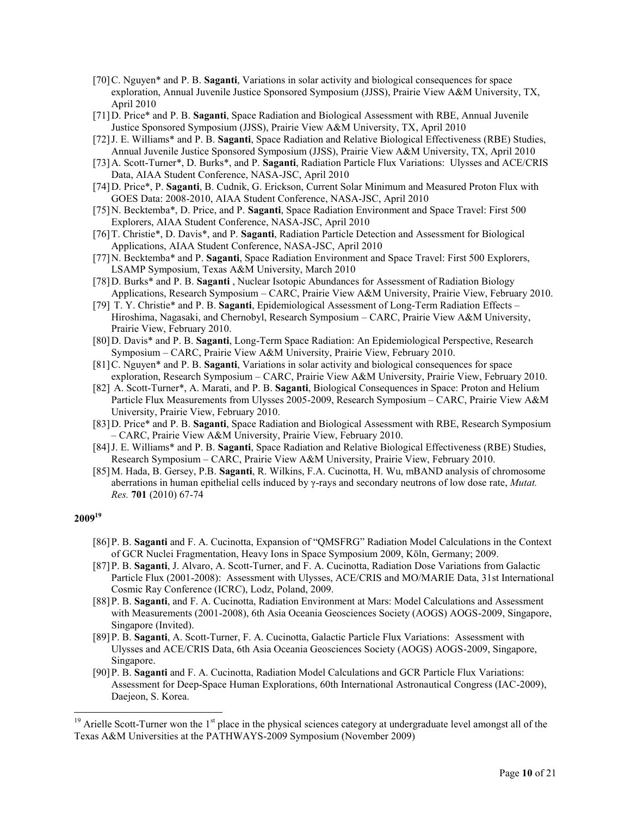- [70]C. Nguyen\* and P. B. **Saganti**, Variations in solar activity and biological consequences for space exploration, Annual Juvenile Justice Sponsored Symposium (JJSS), Prairie View A&M University, TX, April 2010
- [71]D. Price\* and P. B. **Saganti**, Space Radiation and Biological Assessment with RBE, Annual Juvenile Justice Sponsored Symposium (JJSS), Prairie View A&M University, TX, April 2010
- [72]J. E. Williams\* and P. B. **Saganti**, Space Radiation and Relative Biological Effectiveness (RBE) Studies, Annual Juvenile Justice Sponsored Symposium (JJSS), Prairie View A&M University, TX, April 2010
- [73]A. Scott-Turner\*, D. Burks\*, and P. **Saganti**, Radiation Particle Flux Variations: Ulysses and ACE/CRIS Data, AIAA Student Conference, NASA-JSC, April 2010
- [74]D. Price\*, P. **Saganti**, B. Cudnik, G. Erickson, Current Solar Minimum and Measured Proton Flux with GOES Data: 2008-2010, AIAA Student Conference, NASA-JSC, April 2010
- [75]N. Becktemba\*, D. Price, and P. **Saganti**, Space Radiation Environment and Space Travel: First 500 Explorers, AIAA Student Conference, NASA-JSC, April 2010
- [76]T. Christie\*, D. Davis\*, and P. **Saganti**, Radiation Particle Detection and Assessment for Biological Applications, AIAA Student Conference, NASA-JSC, April 2010
- [77]N. Becktemba\* and P. **Saganti**, Space Radiation Environment and Space Travel: First 500 Explorers, LSAMP Symposium, Texas A&M University, March 2010
- [78]D. Burks\* and P. B. **Saganti** , Nuclear Isotopic Abundances for Assessment of Radiation Biology Applications, Research Symposium – CARC, Prairie View A&M University, Prairie View, February 2010.
- [79] T. Y. Christie\* and P. B. **Saganti**, Epidemiological Assessment of Long-Term Radiation Effects Hiroshima, Nagasaki, and Chernobyl, Research Symposium – CARC, Prairie View A&M University, Prairie View, February 2010.
- [80]D. Davis\* and P. B. **Saganti**, Long-Term Space Radiation: An Epidemiological Perspective, Research Symposium – CARC, Prairie View A&M University, Prairie View, February 2010.
- [81]C. Nguyen\* and P. B. **Saganti**, Variations in solar activity and biological consequences for space exploration, Research Symposium – CARC, Prairie View A&M University, Prairie View, February 2010.
- [82] A. Scott-Turner\*, A. Marati, and P. B. **Saganti**, Biological Consequences in Space: Proton and Helium Particle Flux Measurements from Ulysses 2005-2009, Research Symposium – CARC, Prairie View A&M University, Prairie View, February 2010.
- [83]D. Price\* and P. B. **Saganti**, Space Radiation and Biological Assessment with RBE, Research Symposium – CARC, Prairie View A&M University, Prairie View, February 2010.
- [84]J. E. Williams\* and P. B. **Saganti**, Space Radiation and Relative Biological Effectiveness (RBE) Studies, Research Symposium – CARC, Prairie View A&M University, Prairie View, February 2010.
- [85]M. Hada, B. Gersey, P.B. **Saganti**, R. Wilkins, F.A. Cucinotta, H. Wu, mBAND analysis of chromosome aberrations in human epithelial cells induced by γ-rays and secondary neutrons of low dose rate, *Mutat. Res.* **701** (2010) 67-74

- [86]P. B. **Saganti** and F. A. Cucinotta, Expansion of "QMSFRG" Radiation Model Calculations in the Context of GCR Nuclei Fragmentation, Heavy Ions in Space Symposium 2009, Köln, Germany; 2009.
- [87]P. B. **Saganti**, J. Alvaro, A. Scott-Turner, and F. A. Cucinotta, Radiation Dose Variations from Galactic Particle Flux (2001-2008): Assessment with Ulysses, ACE/CRIS and MO/MARIE Data, 31st International Cosmic Ray Conference (ICRC), Lodz, Poland, 2009.
- [88]P. B. **Saganti**, and F. A. Cucinotta, Radiation Environment at Mars: Model Calculations and Assessment with Measurements (2001-2008), 6th Asia Oceania Geosciences Society (AOGS) AOGS-2009, Singapore, Singapore (Invited).
- [89]P. B. **Saganti**, A. Scott-Turner, F. A. Cucinotta, Galactic Particle Flux Variations: Assessment with Ulysses and ACE/CRIS Data, 6th Asia Oceania Geosciences Society (AOGS) AOGS-2009, Singapore, Singapore.
- [90]P. B. **Saganti** and F. A. Cucinotta, Radiation Model Calculations and GCR Particle Flux Variations: Assessment for Deep-Space Human Explorations, 60th International Astronautical Congress (IAC-2009), Daejeon, S. Korea.

<sup>&</sup>lt;sup>19</sup> Arielle Scott-Turner won the 1<sup>st</sup> place in the physical sciences category at undergraduate level amongst all of the Texas A&M Universities at the PATHWAYS-2009 Symposium (November 2009)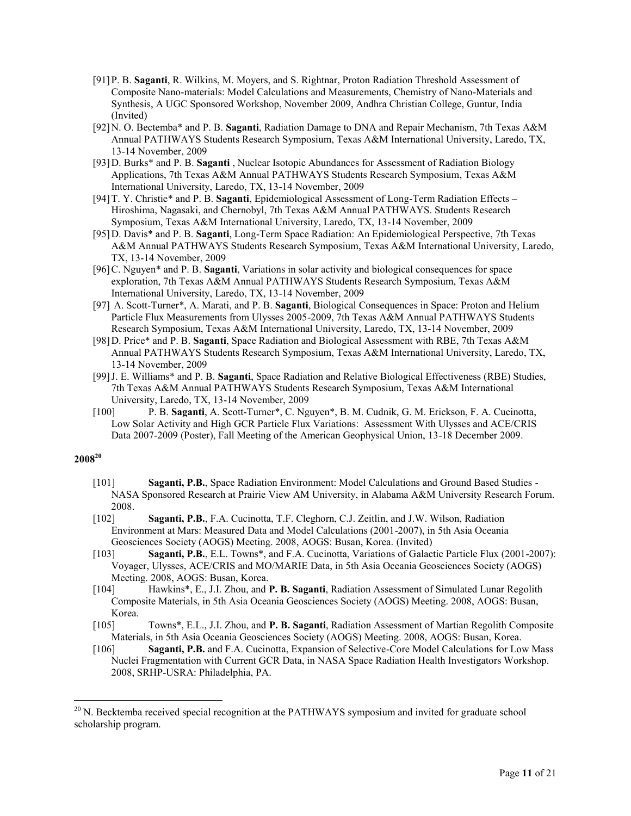- [91]P. B. **Saganti**, R. Wilkins, M. Moyers, and S. Rightnar, Proton Radiation Threshold Assessment of Composite Nano-materials: Model Calculations and Measurements, Chemistry of Nano-Materials and Synthesis, A UGC Sponsored Workshop, November 2009, Andhra Christian College, Guntur, India (Invited)
- [92]N. O. Bectemba\* and P. B. **Saganti**, Radiation Damage to DNA and Repair Mechanism, 7th Texas A&M Annual PATHWAYS Students Research Symposium, Texas A&M International University, Laredo, TX, 13-14 November, 2009
- [93]D. Burks\* and P. B. **Saganti** , Nuclear Isotopic Abundances for Assessment of Radiation Biology Applications, 7th Texas A&M Annual PATHWAYS Students Research Symposium, Texas A&M International University, Laredo, TX, 13-14 November, 2009
- [94]T. Y. Christie\* and P. B. **Saganti**, Epidemiological Assessment of Long-Term Radiation Effects Hiroshima, Nagasaki, and Chernobyl, 7th Texas A&M Annual PATHWAYS. Students Research Symposium, Texas A&M International University, Laredo, TX, 13-14 November, 2009
- [95]D. Davis\* and P. B. **Saganti**, Long-Term Space Radiation: An Epidemiological Perspective, 7th Texas A&M Annual PATHWAYS Students Research Symposium, Texas A&M International University, Laredo, TX, 13-14 November, 2009
- [96]C. Nguyen\* and P. B. **Saganti**, Variations in solar activity and biological consequences for space exploration, 7th Texas A&M Annual PATHWAYS Students Research Symposium, Texas A&M International University, Laredo, TX, 13-14 November, 2009
- [97] A. Scott-Turner\*, A. Marati, and P. B. **Saganti**, Biological Consequences in Space: Proton and Helium Particle Flux Measurements from Ulysses 2005-2009, 7th Texas A&M Annual PATHWAYS Students Research Symposium, Texas A&M International University, Laredo, TX, 13-14 November, 2009
- [98]D. Price\* and P. B. **Saganti**, Space Radiation and Biological Assessment with RBE, 7th Texas A&M Annual PATHWAYS Students Research Symposium, Texas A&M International University, Laredo, TX, 13-14 November, 2009
- [99]J. E. Williams\* and P. B. **Saganti**, Space Radiation and Relative Biological Effectiveness (RBE) Studies, 7th Texas A&M Annual PATHWAYS Students Research Symposium, Texas A&M International University, Laredo, TX, 13-14 November, 2009
- [100] P. B. **Saganti**, A. Scott-Turner\*, C. Nguyen\*, B. M. Cudnik, G. M. Erickson, F. A. Cucinotta, Low Solar Activity and High GCR Particle Flux Variations: Assessment With Ulysses and ACE/CRIS Data 2007-2009 (Poster), Fall Meeting of the American Geophysical Union, 13-18 December 2009.

- [101] **Saganti, P.B.**, Space Radiation Environment: Model Calculations and Ground Based Studies NASA Sponsored Research at Prairie View AM University, in Alabama A&M University Research Forum. 2008.
- [102] **Saganti, P.B.**, F.A. Cucinotta, T.F. Cleghorn, C.J. Zeitlin, and J.W. Wilson, Radiation Environment at Mars: Measured Data and Model Calculations (2001-2007), in 5th Asia Oceania Geosciences Society (AOGS) Meeting. 2008, AOGS: Busan, Korea. (Invited)
- [103] **Saganti, P.B.**, E.L. Towns\*, and F.A. Cucinotta, Variations of Galactic Particle Flux (2001-2007): Voyager, Ulysses, ACE/CRIS and MO/MARIE Data, in 5th Asia Oceania Geosciences Society (AOGS) Meeting. 2008, AOGS: Busan, Korea.
- [104] Hawkins\*, E., J.I. Zhou, and **P. B. Saganti**, Radiation Assessment of Simulated Lunar Regolith Composite Materials, in 5th Asia Oceania Geosciences Society (AOGS) Meeting. 2008, AOGS: Busan, Korea.
- [105] Towns\*, E.L., J.I. Zhou, and **P. B. Saganti**, Radiation Assessment of Martian Regolith Composite Materials, in 5th Asia Oceania Geosciences Society (AOGS) Meeting. 2008, AOGS: Busan, Korea.
- [106] **Saganti, P.B.** and F.A. Cucinotta, Expansion of Selective-Core Model Calculations for Low Mass Nuclei Fragmentation with Current GCR Data, in NASA Space Radiation Health Investigators Workshop. 2008, SRHP-USRA: Philadelphia, PA.

<sup>&</sup>lt;sup>20</sup> N. Becktemba received special recognition at the PATHWAYS symposium and invited for graduate school scholarship program.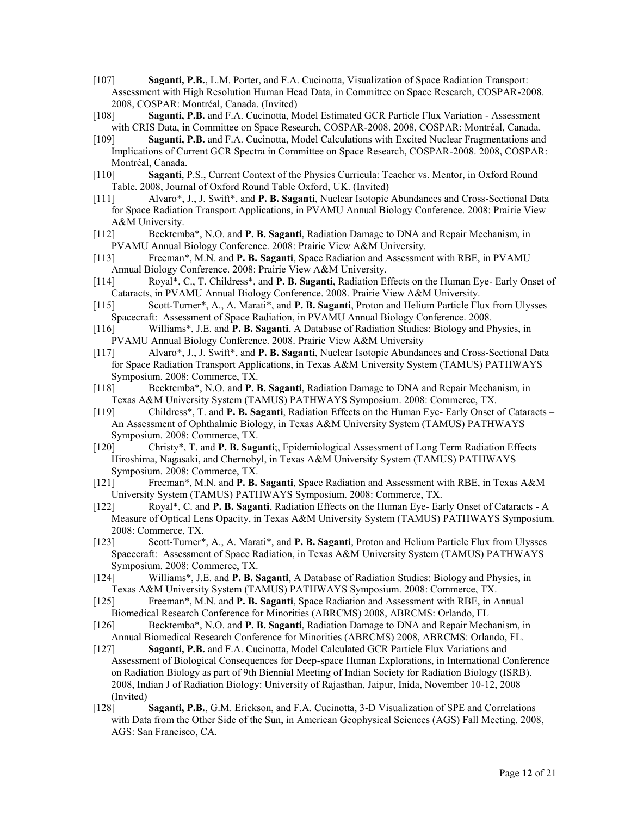- [107] **Saganti, P.B.**, L.M. Porter, and F.A. Cucinotta, Visualization of Space Radiation Transport: Assessment with High Resolution Human Head Data, in Committee on Space Research, COSPAR-2008. 2008, COSPAR: Montréal, Canada. (Invited)
- [108] **Saganti, P.B.** and F.A. Cucinotta, Model Estimated GCR Particle Flux Variation Assessment with CRIS Data, in Committee on Space Research, COSPAR-2008. 2008, COSPAR: Montréal, Canada.
- [109] **Saganti, P.B.** and F.A. Cucinotta, Model Calculations with Excited Nuclear Fragmentations and Implications of Current GCR Spectra in Committee on Space Research, COSPAR-2008. 2008, COSPAR: Montréal, Canada.
- [110] **Saganti**, P.S., Current Context of the Physics Curricula: Teacher vs. Mentor, in Oxford Round Table. 2008, Journal of Oxford Round Table Oxford, UK. (Invited)
- [111] Alvaro\*, J., J. Swift\*, and **P. B. Saganti**, Nuclear Isotopic Abundances and Cross-Sectional Data for Space Radiation Transport Applications, in PVAMU Annual Biology Conference. 2008: Prairie View A&M University.
- [112] Becktemba\*, N.O. and **P. B. Saganti**, Radiation Damage to DNA and Repair Mechanism, in PVAMU Annual Biology Conference. 2008: Prairie View A&M University.
- [113] Freeman\*, M.N. and **P. B. Saganti**, Space Radiation and Assessment with RBE, in PVAMU Annual Biology Conference. 2008: Prairie View A&M University.
- [114] Royal\*, C., T. Childress\*, and **P. B. Saganti**, Radiation Effects on the Human Eye- Early Onset of Cataracts, in PVAMU Annual Biology Conference. 2008. Prairie View A&M University.
- [115] Scott-Turner\*, A., A. Marati\*, and **P. B. Saganti**, Proton and Helium Particle Flux from Ulysses Spacecraft: Assessment of Space Radiation, in PVAMU Annual Biology Conference. 2008.
- [116] Williams\*, J.E. and **P. B. Saganti**, A Database of Radiation Studies: Biology and Physics, in PVAMU Annual Biology Conference. 2008. Prairie View A&M University
- [117] Alvaro\*, J., J. Swift\*, and **P. B. Saganti**, Nuclear Isotopic Abundances and Cross-Sectional Data for Space Radiation Transport Applications, in Texas A&M University System (TAMUS) PATHWAYS Symposium. 2008: Commerce, TX.
- [118] Becktemba\*, N.O. and **P. B. Saganti**, Radiation Damage to DNA and Repair Mechanism, in Texas A&M University System (TAMUS) PATHWAYS Symposium. 2008: Commerce, TX.
- [119] Childress\*, T. and **P. B. Saganti**, Radiation Effects on the Human Eye- Early Onset of Cataracts An Assessment of Ophthalmic Biology, in Texas A&M University System (TAMUS) PATHWAYS Symposium. 2008: Commerce, TX.
- [120] Christy\*, T. and **P. B. Saganti**;, Epidemiological Assessment of Long Term Radiation Effects Hiroshima, Nagasaki, and Chernobyl, in Texas A&M University System (TAMUS) PATHWAYS Symposium. 2008: Commerce, TX.
- [121] Freeman\*, M.N. and **P. B. Saganti**, Space Radiation and Assessment with RBE, in Texas A&M University System (TAMUS) PATHWAYS Symposium. 2008: Commerce, TX.
- [122] Royal\*, C. and **P. B. Saganti**, Radiation Effects on the Human Eye- Early Onset of Cataracts A Measure of Optical Lens Opacity, in Texas A&M University System (TAMUS) PATHWAYS Symposium. 2008: Commerce, TX.
- [123] Scott-Turner\*, A., A. Marati\*, and **P. B. Saganti**, Proton and Helium Particle Flux from Ulysses Spacecraft: Assessment of Space Radiation, in Texas A&M University System (TAMUS) PATHWAYS Symposium. 2008: Commerce, TX.
- [124] Williams\*, J.E. and **P. B. Saganti**, A Database of Radiation Studies: Biology and Physics, in Texas A&M University System (TAMUS) PATHWAYS Symposium. 2008: Commerce, TX.
- [125] Freeman\*, M.N. and **P. B. Saganti**, Space Radiation and Assessment with RBE, in Annual Biomedical Research Conference for Minorities (ABRCMS) 2008, ABRCMS: Orlando, FL
- [126] Becktemba\*, N.O. and **P. B. Saganti**, Radiation Damage to DNA and Repair Mechanism, in Annual Biomedical Research Conference for Minorities (ABRCMS) 2008, ABRCMS: Orlando, FL.
- [127] **Saganti, P.B.** and F.A. Cucinotta, Model Calculated GCR Particle Flux Variations and Assessment of Biological Consequences for Deep-space Human Explorations, in International Conference on Radiation Biology as part of 9th Biennial Meeting of Indian Society for Radiation Biology (ISRB). 2008, Indian J of Radiation Biology: University of Rajasthan, Jaipur, Inida, November 10-12, 2008 (Invited)
- [128] **Saganti, P.B.**, G.M. Erickson, and F.A. Cucinotta, 3-D Visualization of SPE and Correlations with Data from the Other Side of the Sun, in American Geophysical Sciences (AGS) Fall Meeting. 2008, AGS: San Francisco, CA.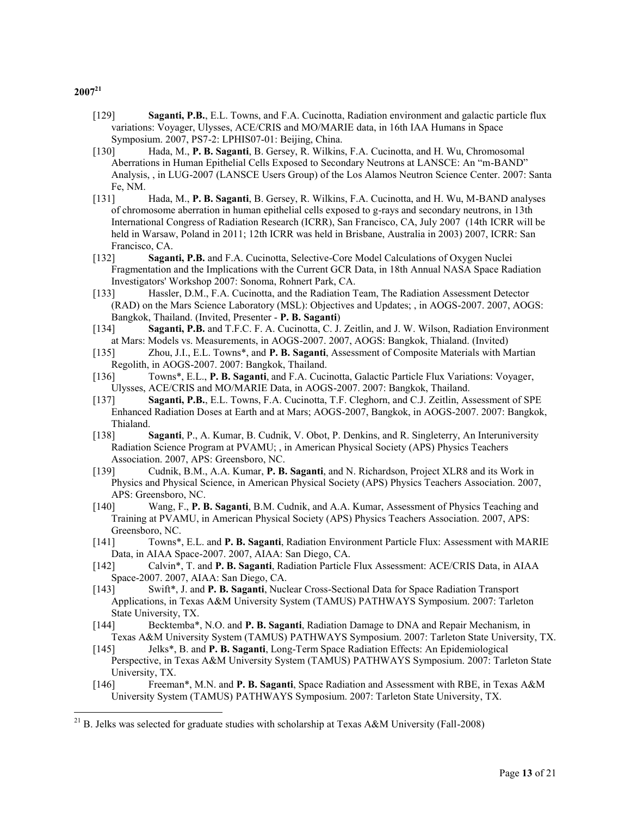- [129] **Saganti, P.B.**, E.L. Towns, and F.A. Cucinotta, Radiation environment and galactic particle flux variations: Voyager, Ulysses, ACE/CRIS and MO/MARIE data, in 16th IAA Humans in Space Symposium. 2007, PS7-2: LPHIS07-01: Beijing, China.
- [130] Hada, M., **P. B. Saganti**, B. Gersey, R. Wilkins, F.A. Cucinotta, and H. Wu, Chromosomal Aberrations in Human Epithelial Cells Exposed to Secondary Neutrons at LANSCE: An "m-BAND" Analysis, , in LUG-2007 (LANSCE Users Group) of the Los Alamos Neutron Science Center. 2007: Santa Fe, NM.
- [131] Hada, M., **P. B. Saganti**, B. Gersey, R. Wilkins, F.A. Cucinotta, and H. Wu, M-BAND analyses of chromosome aberration in human epithelial cells exposed to g-rays and secondary neutrons, in 13th International Congress of Radiation Research (ICRR), San Francisco, CA, July 2007 (14th ICRR will be held in Warsaw, Poland in 2011; 12th ICRR was held in Brisbane, Australia in 2003) 2007, ICRR: San Francisco, CA.
- [132] **Saganti, P.B.** and F.A. Cucinotta, Selective-Core Model Calculations of Oxygen Nuclei Fragmentation and the Implications with the Current GCR Data, in 18th Annual NASA Space Radiation Investigators' Workshop 2007: Sonoma, Rohnert Park, CA.
- [133] Hassler, D.M., F.A. Cucinotta, and the Radiation Team, The Radiation Assessment Detector (RAD) on the Mars Science Laboratory (MSL): Objectives and Updates; , in AOGS-2007. 2007, AOGS: Bangkok, Thailand. (Invited, Presenter - **P. B. Saganti**)
- [134] **Saganti, P.B.** and T.F.C. F. A. Cucinotta, C. J. Zeitlin, and J. W. Wilson, Radiation Environment at Mars: Models vs. Measurements, in AOGS-2007. 2007, AOGS: Bangkok, Thialand. (Invited)
- [135] Zhou, J.I., E.L. Towns\*, and **P. B. Saganti**, Assessment of Composite Materials with Martian Regolith, in AOGS-2007. 2007: Bangkok, Thailand.
- [136] Towns\*, E.L., **P. B. Saganti**, and F.A. Cucinotta, Galactic Particle Flux Variations: Voyager, Ulysses, ACE/CRIS and MO/MARIE Data, in AOGS-2007. 2007: Bangkok, Thailand.
- [137] **Saganti, P.B.**, E.L. Towns, F.A. Cucinotta, T.F. Cleghorn, and C.J. Zeitlin, Assessment of SPE Enhanced Radiation Doses at Earth and at Mars; AOGS-2007, Bangkok, in AOGS-2007. 2007: Bangkok, Thialand.
- [138] **Saganti**, P., A. Kumar, B. Cudnik, V. Obot, P. Denkins, and R. Singleterry, An Interuniversity Radiation Science Program at PVAMU; , in American Physical Society (APS) Physics Teachers Association. 2007, APS: Greensboro, NC.
- [139] Cudnik, B.M., A.A. Kumar, **P. B. Saganti**, and N. Richardson, Project XLR8 and its Work in Physics and Physical Science, in American Physical Society (APS) Physics Teachers Association. 2007, APS: Greensboro, NC.
- [140] Wang, F., **P. B. Saganti**, B.M. Cudnik, and A.A. Kumar, Assessment of Physics Teaching and Training at PVAMU, in American Physical Society (APS) Physics Teachers Association. 2007, APS: Greensboro, NC.
- [141] Towns\*, E.L. and **P. B. Saganti**, Radiation Environment Particle Flux: Assessment with MARIE Data, in AIAA Space-2007. 2007, AIAA: San Diego, CA.
- [142] Calvin\*, T. and **P. B. Saganti**, Radiation Particle Flux Assessment: ACE/CRIS Data, in AIAA Space-2007. 2007, AIAA: San Diego, CA.
- [143] Swift\*, J. and **P. B. Saganti**, Nuclear Cross-Sectional Data for Space Radiation Transport Applications, in Texas A&M University System (TAMUS) PATHWAYS Symposium. 2007: Tarleton State University, TX.
- [144] Becktemba\*, N.O. and **P. B. Saganti**, Radiation Damage to DNA and Repair Mechanism, in Texas A&M University System (TAMUS) PATHWAYS Symposium. 2007: Tarleton State University, TX.
- [145] Jelks\*, B. and **P. B. Saganti**, Long-Term Space Radiation Effects: An Epidemiological Perspective, in Texas A&M University System (TAMUS) PATHWAYS Symposium. 2007: Tarleton State University, TX.
- [146] Freeman\*, M.N. and **P. B. Saganti**, Space Radiation and Assessment with RBE, in Texas A&M University System (TAMUS) PATHWAYS Symposium. 2007: Tarleton State University, TX.

<sup>&</sup>lt;sup>21</sup> B. Jelks was selected for graduate studies with scholarship at Texas A&M University (Fall-2008)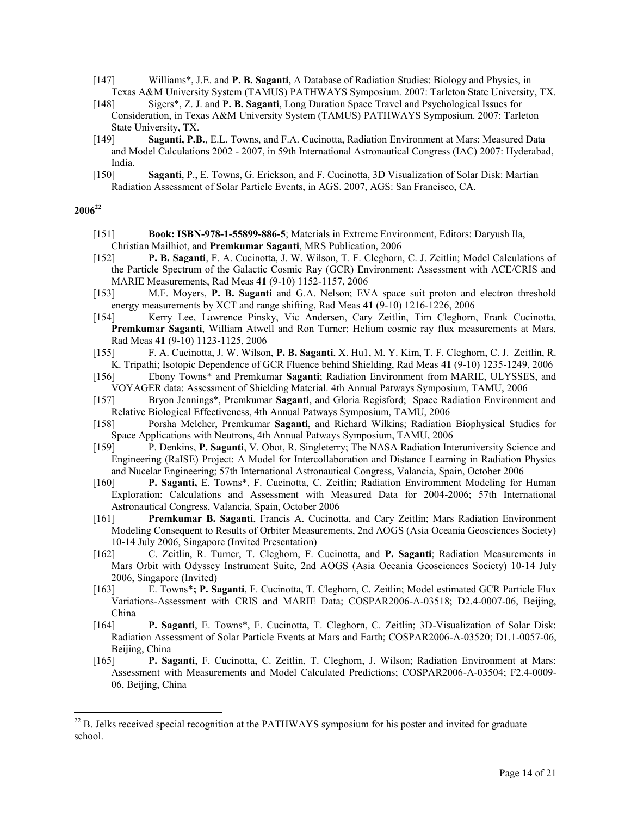- [147] Williams\*, J.E. and **P. B. Saganti**, A Database of Radiation Studies: Biology and Physics, in Texas A&M University System (TAMUS) PATHWAYS Symposium. 2007: Tarleton State University, TX.
- [148] Sigers\*, Z. J. and **P. B. Saganti**, Long Duration Space Travel and Psychological Issues for Consideration, in Texas A&M University System (TAMUS) PATHWAYS Symposium. 2007: Tarleton State University, TX.
- [149] **Saganti, P.B.**, E.L. Towns, and F.A. Cucinotta, Radiation Environment at Mars: Measured Data and Model Calculations 2002 - 2007, in 59th International Astronautical Congress (IAC) 2007: Hyderabad, India.
- [150] **Saganti**, P., E. Towns, G. Erickson, and F. Cucinotta, 3D Visualization of Solar Disk: Martian Radiation Assessment of Solar Particle Events, in AGS. 2007, AGS: San Francisco, CA.

- [151] **Book: ISBN-978-1-55899-886-5**; Materials in Extreme Environment, Editors: Daryush Ila, Christian Mailhiot, and **Premkumar Saganti**, MRS Publication, 2006
- [152] **P. B. Saganti**, F. A. Cucinotta, J. W. Wilson, T. F. Cleghorn, C. J. Zeitlin; Model Calculations of the Particle Spectrum of the Galactic Cosmic Ray (GCR) Environment: Assessment with ACE/CRIS and MARIE Measurements, Rad Meas **41** (9-10) 1152-1157, 2006
- [153] M.F. Moyers, **P. B. Saganti** and G.A. Nelson; EVA space suit proton and electron threshold energy measurements by XCT and range shifting, Rad Meas **41** (9-10) 1216-1226, 2006
- [154] Kerry Lee, Lawrence Pinsky, Vic Andersen, Cary Zeitlin, Tim Cleghorn, Frank Cucinotta, **Premkumar Saganti**, William Atwell and Ron Turner; Helium cosmic ray flux measurements at Mars, Rad Meas **41** (9-10) 1123-1125, 2006
- [155] F. A. Cucinotta, J. W. Wilson, **P. B. Saganti**, X. Hu1, M. Y. Kim, T. F. Cleghorn, C. J. Zeitlin, R. K. Tripathi; Isotopic Dependence of GCR Fluence behind Shielding, Rad Meas **41** (9-10) 1235-1249, 2006
- [156] Ebony Towns\* and Premkumar **Saganti**; Radiation Environment from MARIE, ULYSSES, and VOYAGER data: Assessment of Shielding Material. 4th Annual Patways Symposium, TAMU, 2006
- [157] Bryon Jennings\*, Premkumar **Saganti**, and Gloria Regisford; Space Radiation Environment and Relative Biological Effectiveness, 4th Annual Patways Symposium, TAMU, 2006
- [158] Porsha Melcher, Premkumar **Saganti**, and Richard Wilkins; Radiation Biophysical Studies for Space Applications with Neutrons, 4th Annual Patways Symposium, TAMU, 2006
- [159] P. Denkins, **P. Saganti**, V. Obot, R. Singleterry; The NASA Radiation Interuniversity Science and Engineering (RaISE) Project: A Model for Intercollaboration and Distance Learning in Radiation Physics and Nucelar Engineering; 57th International Astronautical Congress, Valancia, Spain, October 2006
- [160] **P. Saganti,** E. Towns\*, F. Cucinotta, C. Zeitlin; Radiation Enviromment Modeling for Human Exploration: Calculations and Assessment with Measured Data for 2004-2006; 57th International Astronautical Congress, Valancia, Spain, October 2006
- [161] **Premkumar B. Saganti**, Francis A. Cucinotta, and Cary Zeitlin; Mars Radiation Environment Modeling Consequent to Results of Orbiter Measurements, 2nd AOGS (Asia Oceania Geosciences Society) 10-14 July 2006, Singapore (Invited Presentation)
- [162] C. Zeitlin, R. Turner, T. Cleghorn, F. Cucinotta, and **P. Saganti**; Radiation Measurements in Mars Orbit with Odyssey Instrument Suite, 2nd AOGS (Asia Oceania Geosciences Society) 10-14 July 2006, Singapore (Invited)
- [163] E. Towns\***; P. Saganti**, F. Cucinotta, T. Cleghorn, C. Zeitlin; Model estimated GCR Particle Flux Variations-Assessment with CRIS and MARIE Data; COSPAR2006-A-03518; D2.4-0007-06, Beijing, China
- [164] **P. Saganti**, E. Towns\*, F. Cucinotta, T. Cleghorn, C. Zeitlin; 3D-Visualization of Solar Disk: Radiation Assessment of Solar Particle Events at Mars and Earth; COSPAR2006-A-03520; D1.1-0057-06, Beijing, China
- [165] **P. Saganti**, F. Cucinotta, C. Zeitlin, T. Cleghorn, J. Wilson; Radiation Environment at Mars: Assessment with Measurements and Model Calculated Predictions; COSPAR2006-A-03504; F2.4-0009- 06, Beijing, China

 $^{22}$  B. Jelks received special recognition at the PATHWAYS symposium for his poster and invited for graduate school.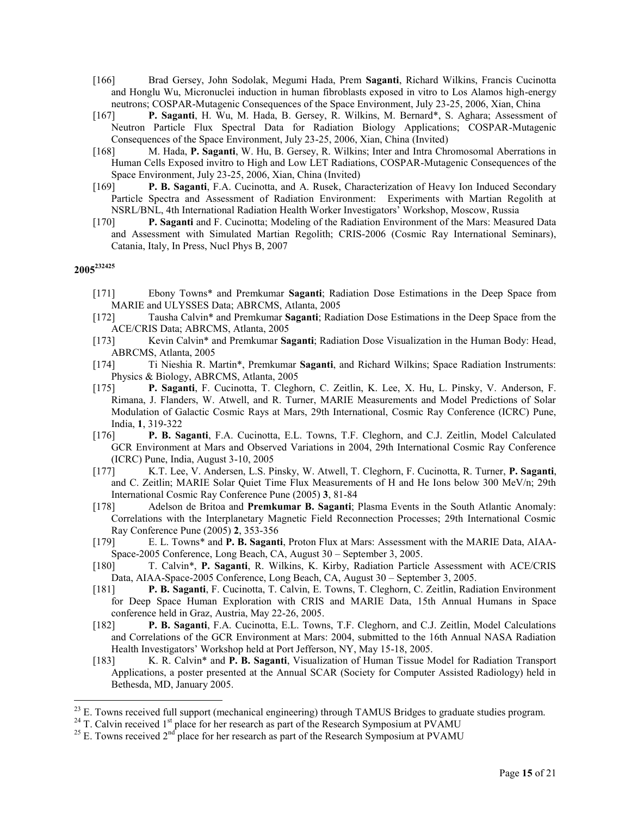- [166] Brad Gersey, John Sodolak, Megumi Hada, Prem **Saganti**, Richard Wilkins, Francis Cucinotta and Honglu Wu, Micronuclei induction in human fibroblasts exposed in vitro to Los Alamos high-energy neutrons; COSPAR-Mutagenic Consequences of the Space Environment, July 23-25, 2006, Xian, China
- [167] **P. Saganti**, H. Wu, M. Hada, B. Gersey, R. Wilkins, M. Bernard\*, S. Aghara; Assessment of Neutron Particle Flux Spectral Data for Radiation Biology Applications; COSPAR-Mutagenic Consequences of the Space Environment, July 23-25, 2006, Xian, China (Invited)
- [168] M. Hada, **P. Saganti**, W. Hu, B. Gersey, R. Wilkins; Inter and Intra Chromosomal Aberrations in Human Cells Exposed invitro to High and Low LET Radiations, COSPAR-Mutagenic Consequences of the Space Environment, July 23-25, 2006, Xian, China (Invited)
- [169] **P. B. Saganti**, F.A. Cucinotta, and A. Rusek, Characterization of Heavy Ion Induced Secondary Particle Spectra and Assessment of Radiation Environment: Experiments with Martian Regolith at NSRL/BNL, 4th International Radiation Health Worker Investigators' Workshop, Moscow, Russia
- [170] **P. Saganti** and F. Cucinotta; Modeling of the Radiation Environment of the Mars: Measured Data and Assessment with Simulated Martian Regolith; CRIS-2006 (Cosmic Ray International Seminars), Catania, Italy, In Press, Nucl Phys B, 2007

- [171] Ebony Towns\* and Premkumar **Saganti**; Radiation Dose Estimations in the Deep Space from MARIE and ULYSSES Data; ABRCMS, Atlanta, 2005
- [172] Tausha Calvin\* and Premkumar **Saganti**; Radiation Dose Estimations in the Deep Space from the ACE/CRIS Data; ABRCMS, Atlanta, 2005
- [173] Kevin Calvin\* and Premkumar **Saganti**; Radiation Dose Visualization in the Human Body: Head, ABRCMS, Atlanta, 2005
- [174] Ti Nieshia R. Martin\*, Premkumar **Saganti**, and Richard Wilkins; Space Radiation Instruments: Physics & Biology, ABRCMS, Atlanta, 2005
- [175] **P. Saganti**, F. Cucinotta, T. Cleghorn, C. Zeitlin, K. Lee, X. Hu, L. Pinsky, V. Anderson, F. Rimana, J. Flanders, W. Atwell, and R. Turner, MARIE Measurements and Model Predictions of Solar Modulation of Galactic Cosmic Rays at Mars, 29th International, Cosmic Ray Conference (ICRC) Pune, India, **1**, 319-322
- [176] **P. B. Saganti**, F.A. Cucinotta, E.L. Towns, T.F. Cleghorn, and C.J. Zeitlin, Model Calculated GCR Environment at Mars and Observed Variations in 2004, 29th International Cosmic Ray Conference (ICRC) Pune, India, August 3-10, 2005
- [177] K.T. Lee, V. Andersen, L.S. Pinsky, W. Atwell, T. Cleghorn, F. Cucinotta, R. Turner, **P. Saganti**, and C. Zeitlin; MARIE Solar Quiet Time Flux Measurements of H and He Ions below 300 MeV/n; 29th International Cosmic Ray Conference Pune (2005) **3**, 81-84
- [178] Adelson de Britoa and **Premkumar B. Saganti**; Plasma Events in the South Atlantic Anomaly: Correlations with the Interplanetary Magnetic Field Reconnection Processes; 29th International Cosmic Ray Conference Pune (2005) **2**, 353-356
- [179] E. L. Towns\* and **P. B. Saganti**, Proton Flux at Mars: Assessment with the MARIE Data, AIAA-Space-2005 Conference, Long Beach, CA, August 30 – September 3, 2005.
- [180] T. Calvin\*, **P. Saganti**, R. Wilkins, K. Kirby, Radiation Particle Assessment with ACE/CRIS Data, AIAA-Space-2005 Conference, Long Beach, CA, August 30 – September 3, 2005.
- [181] **P. B. Saganti**, F. Cucinotta, T. Calvin, E. Towns, T. Cleghorn, C. Zeitlin, Radiation Environment for Deep Space Human Exploration with CRIS and MARIE Data, 15th Annual Humans in Space conference held in Graz, Austria, May 22-26, 2005.
- [182] **P. B. Saganti**, F.A. Cucinotta, E.L. Towns, T.F. Cleghorn, and C.J. Zeitlin, Model Calculations and Correlations of the GCR Environment at Mars: 2004, submitted to the 16th Annual NASA Radiation Health Investigators' Workshop held at Port Jefferson, NY, May 15-18, 2005.
- [183] K. R. Calvin\* and **P. B. Saganti**, Visualization of Human Tissue Model for Radiation Transport Applications, a poster presented at the Annual SCAR (Society for Computer Assisted Radiology) held in Bethesda, MD, January 2005.

<sup>&</sup>lt;sup>23</sup> E. Towns received full support (mechanical engineering) through TAMUS Bridges to graduate studies program.

<sup>&</sup>lt;sup>24</sup> T. Calvin received 1<sup>st</sup> place for her research as part of the Research Symposium at PVAMU

<sup>&</sup>lt;sup>25</sup> E. Towns received  $2<sup>nd</sup>$  place for her research as part of the Research Symposium at PVAMU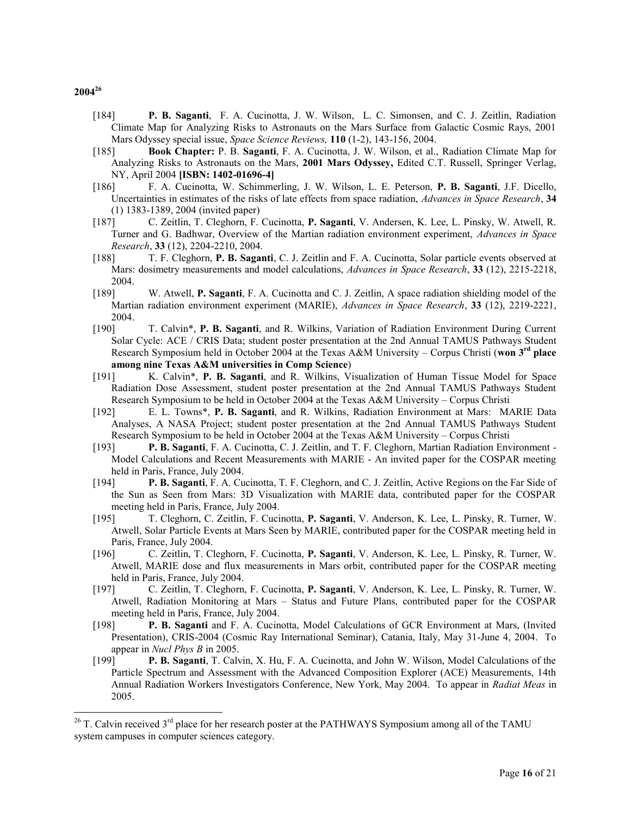- [184] **P. B. Saganti**, F. A. Cucinotta, J. W. Wilson, L. C. Simonsen, and C. J. Zeitlin, Radiation Climate Map for Analyzing Risks to Astronauts on the Mars Surface from Galactic Cosmic Rays, 2001 Mars Odyssey special issue, *Space Science Reviews,* **110** (1-2), 143-156, 2004.
- [185] **Book Chapter:** P. B. **Saganti**, F. A. Cucinotta, J. W. Wilson, et al., Radiation Climate Map for Analyzing Risks to Astronauts on the Mars, **2001 Mars Odyssey,** Edited C.T. Russell, Springer Verlag, NY, April 2004 **[ISBN: 1402-01696-4]**
- [186] F. A. Cucinotta, W. Schimmerling, J. W. Wilson, L. E. Peterson, **P. B. Saganti**, J.F. Dicello, Uncertainties in estimates of the risks of late effects from space radiation, *Advances in Space Research*, **34**  (1) 1383-1389, 2004 (invited paper)
- [187] C. Zeitlin, T. Cleghorn, F. Cucinotta, **P. Saganti**, V. Andersen, K. Lee, L. Pinsky, W. Atwell, R. Turner and G. Badhwar, Overview of the Martian radiation environment experiment, *Advances in Space Research*, **33** (12), 2204-2210, 2004.
- [188] T. F. Cleghorn, **P. B. Saganti**, C. J. Zeitlin and F. A. Cucinotta, Solar particle events observed at Mars: dosimetry measurements and model calculations, *Advances in Space Research*, **33** (12), 2215-2218, 2004.
- [189] W. Atwell, **P. Saganti**, F. A. Cucinotta and C. J. Zeitlin, A space radiation shielding model of the Martian radiation environment experiment (MARIE), *Advances in Space Research*, **33** (12), 2219-2221, 2004.
- [190] T. Calvin\*, **P. B. Saganti**, and R. Wilkins, Variation of Radiation Environment During Current Solar Cycle: ACE / CRIS Data; student poster presentation at the 2nd Annual TAMUS Pathways Student Research Symposium held in October 2004 at the Texas A&M University – Corpus Christi (**won 3rd place among nine Texas A&M universities in Comp Science**)
- [191] K. Calvin\*, **P. B. Saganti**, and R. Wilkins, Visualization of Human Tissue Model for Space Radiation Dose Assessment, student poster presentation at the 2nd Annual TAMUS Pathways Student Research Symposium to be held in October 2004 at the Texas A&M University – Corpus Christi
- [192] E. L. Towns\*, **P. B. Saganti**, and R. Wilkins, Radiation Environment at Mars: MARIE Data Analyses, A NASA Project; student poster presentation at the 2nd Annual TAMUS Pathways Student Research Symposium to be held in October 2004 at the Texas A&M University – Corpus Christi
- [193] **P. B. Saganti**, F. A. Cucinotta, C. J. Zeitlin, and T. F. Cleghorn, Martian Radiation Environment Model Calculations and Recent Measurements with MARIE - An invited paper for the COSPAR meeting held in Paris, France, July 2004.
- [194] **P. B. Saganti**, F. A. Cucinotta, T. F. Cleghorn, and C. J. Zeitlin, Active Regions on the Far Side of the Sun as Seen from Mars: 3D Visualization with MARIE data, contributed paper for the COSPAR meeting held in Paris, France, July 2004.
- [195] T. Cleghorn, C. Zeitlin, F. Cucinotta, **P. Saganti**, V. Anderson, K. Lee, L. Pinsky, R. Turner, W. Atwell, Solar Particle Events at Mars Seen by MARIE, contributed paper for the COSPAR meeting held in Paris, France, July 2004.
- [196] C. Zeitlin, T. Cleghorn, F. Cucinotta, **P. Saganti**, V. Anderson, K. Lee, L. Pinsky, R. Turner, W. Atwell, MARIE dose and flux measurements in Mars orbit, contributed paper for the COSPAR meeting held in Paris, France, July 2004.
- [197] C. Zeitlin, T. Cleghorn, F. Cucinotta, **P. Saganti**, V. Anderson, K. Lee, L. Pinsky, R. Turner, W. Atwell, Radiation Monitoring at Mars – Status and Future Plans, contributed paper for the COSPAR meeting held in Paris, France, July 2004.
- [198] **P. B. Saganti** and F. A. Cucinotta, Model Calculations of GCR Environment at Mars, (Invited Presentation), CRIS-2004 (Cosmic Ray International Seminar), Catania, Italy, May 31-June 4, 2004. To appear in *Nucl Phys B* in 2005.
- [199] **P. B. Saganti**, T. Calvin, X. Hu, F. A. Cucinotta, and John W. Wilson, Model Calculations of the Particle Spectrum and Assessment with the Advanced Composition Explorer (ACE) Measurements, 14th Annual Radiation Workers Investigators Conference, New York, May 2004. To appear in *Radiat Meas* in 2005.

 $^{26}$  T. Calvin received  $3<sup>rd</sup>$  place for her research poster at the PATHWAYS Symposium among all of the TAMU system campuses in computer sciences category.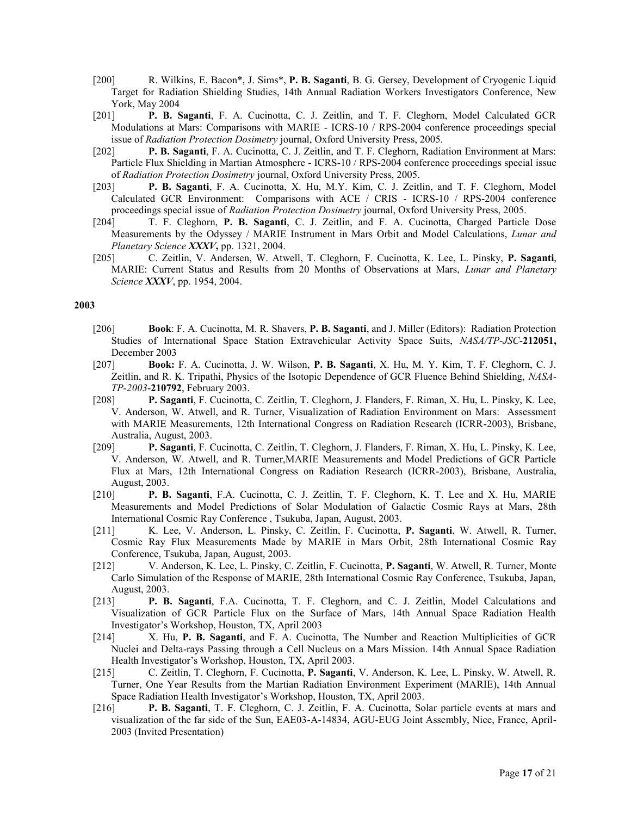- [200] R. Wilkins, E. Bacon\*, J. Sims\*, **P. B. Saganti**, B. G. Gersey, Development of Cryogenic Liquid Target for Radiation Shielding Studies, 14th Annual Radiation Workers Investigators Conference, New York, May 2004
- [201] **P. B. Saganti**, F. A. Cucinotta, C. J. Zeitlin, and T. F. Cleghorn, Model Calculated GCR Modulations at Mars: Comparisons with MARIE - ICRS-10 / RPS-2004 conference proceedings special issue of *Radiation Protection Dosimetry* journal, Oxford University Press, 2005.
- [202] **P. B. Saganti**, F. A. Cucinotta, C. J. Zeitlin, and T. F. Cleghorn, Radiation Environment at Mars: Particle Flux Shielding in Martian Atmosphere - ICRS-10 / RPS-2004 conference proceedings special issue of *Radiation Protection Dosimetry* journal, Oxford University Press, 2005.
- [203] **P. B. Saganti**, F. A. Cucinotta, X. Hu, M.Y. Kim, C. J. Zeitlin, and T. F. Cleghorn, Model Calculated GCR Environment: Comparisons with ACE / CRIS - ICRS-10 / RPS-2004 conference proceedings special issue of *Radiation Protection Dosimetry* journal, Oxford University Press, 2005.
- [204] T. F. Cleghorn, **P. B. Saganti**, C. J. Zeitlin, and F. A. Cucinotta, Charged Particle Dose Measurements by the Odyssey / MARIE Instrument in Mars Orbit and Model Calculations, *Lunar and Planetary Science XXXV***,** pp. 1321, 2004.
- [205] C. Zeitlin, V. Andersen, W. Atwell, T. Cleghorn, F. Cucinotta, K. Lee, L. Pinsky, **P. Saganti**, MARIE: Current Status and Results from 20 Months of Observations at Mars, *Lunar and Planetary Science XXXV*, pp. 1954, 2004.

- [206] **Book**: F. A. Cucinotta, M. R. Shavers, **P. B. Saganti**, and J. Miller (Editors): Radiation Protection Studies of International Space Station Extravehicular Activity Space Suits, *NASA/TP-JSC*-**212051,**  December 2003
- [207] **Book:** F. A. Cucinotta, J. W. Wilson, **P. B. Saganti**, X. Hu, M. Y. Kim, T. F. Cleghorn, C. J. Zeitlin, and R. K. Tripathi, Physics of the Isotopic Dependence of GCR Fluence Behind Shielding, *NASA-TP-2003*-**210792**, February 2003.
- [208] **P. Saganti**, F. Cucinotta, C. Zeitlin, T. Cleghorn, J. Flanders, F. Riman, X. Hu, L. Pinsky, K. Lee, V. Anderson, W. Atwell, and R. Turner, Visualization of Radiation Environment on Mars: Assessment with MARIE Measurements, 12th International Congress on Radiation Research (ICRR-2003), Brisbane, Australia, August, 2003.
- [209] **P. Saganti**, F. Cucinotta, C. Zeitlin, T. Cleghorn, J. Flanders, F. Riman, X. Hu, L. Pinsky, K. Lee, V. Anderson, W. Atwell, and R. Turner,MARIE Measurements and Model Predictions of GCR Particle Flux at Mars, 12th International Congress on Radiation Research (ICRR-2003), Brisbane, Australia, August, 2003.
- [210] **P. B. Saganti**, F.A. Cucinotta, C. J. Zeitlin, T. F. Cleghorn, K. T. Lee and X. Hu, MARIE Measurements and Model Predictions of Solar Modulation of Galactic Cosmic Rays at Mars, 28th International Cosmic Ray Conference , Tsukuba, Japan, August, 2003.
- [211] K. Lee, V. Anderson, L. Pinsky, C. Zeitlin, F. Cucinotta, **P. Saganti**, W. Atwell, R. Turner, Cosmic Ray Flux Measurements Made by MARIE in Mars Orbit, 28th International Cosmic Ray Conference, Tsukuba, Japan, August, 2003.
- [212] V. Anderson, K. Lee, L. Pinsky, C. Zeitlin, F. Cucinotta, **P. Saganti**, W. Atwell, R. Turner, Monte Carlo Simulation of the Response of MARIE, 28th International Cosmic Ray Conference, Tsukuba, Japan, August, 2003.
- [213] **P. B. Saganti**, F.A. Cucinotta, T. F. Cleghorn, and C. J. Zeitlin, Model Calculations and Visualization of GCR Particle Flux on the Surface of Mars, 14th Annual Space Radiation Health Investigator's Workshop, Houston, TX, April 2003
- [214] X. Hu, **P. B. Saganti**, and F. A. Cucinotta, The Number and Reaction Multiplicities of GCR Nuclei and Delta-rays Passing through a Cell Nucleus on a Mars Mission. 14th Annual Space Radiation Health Investigator's Workshop, Houston, TX, April 2003.
- [215] C. Zeitlin, T. Cleghorn, F. Cucinotta, **P. Saganti**, V. Anderson, K. Lee, L. Pinsky, W. Atwell, R. Turner, One Year Results from the Martian Radiation Environment Experiment (MARIE), 14th Annual Space Radiation Health Investigator's Workshop, Houston, TX, April 2003.
- [216] **P. B. Saganti**, T. F. Cleghorn, C. J. Zeitlin, F. A. Cucinotta, Solar particle events at mars and visualization of the far side of the Sun, EAE03-A-14834, AGU-EUG Joint Assembly, Nice, France, April-2003 (Invited Presentation)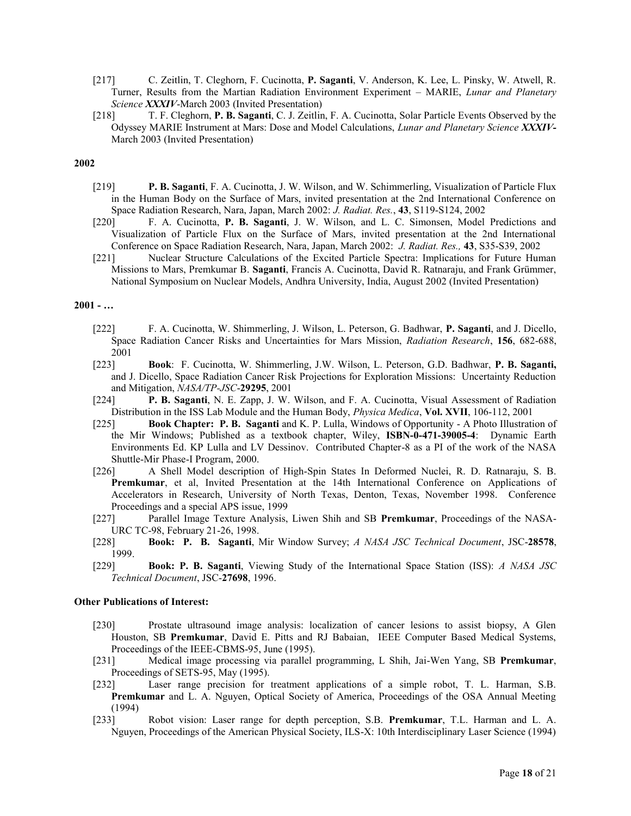- [217] C. Zeitlin, T. Cleghorn, F. Cucinotta, **P. Saganti**, V. Anderson, K. Lee, L. Pinsky, W. Atwell, R. Turner, Results from the Martian Radiation Environment Experiment – MARIE, *Lunar and Planetary Science XXXIV*-March 2003 (Invited Presentation)
- [218] T. F. Cleghorn, **P. B. Saganti**, C. J. Zeitlin, F. A. Cucinotta, Solar Particle Events Observed by the Odyssey MARIE Instrument at Mars: Dose and Model Calculations, *Lunar and Planetary Science XXXIV-*March 2003 (Invited Presentation)

- [219] **P. B. Saganti**, F. A. Cucinotta, J. W. Wilson, and W. Schimmerling, Visualization of Particle Flux in the Human Body on the Surface of Mars, invited presentation at the 2nd International Conference on Space Radiation Research, Nara, Japan, March 2002: *J. Radiat. Res.*, **43**, S119-S124, 2002
- [220] F. A. Cucinotta, **P. B. Saganti**, J. W. Wilson, and L. C. Simonsen, Model Predictions and Visualization of Particle Flux on the Surface of Mars, invited presentation at the 2nd International Conference on Space Radiation Research, Nara, Japan, March 2002: *J. Radiat. Res.,* **43**, S35-S39, 2002
- [221] Nuclear Structure Calculations of the Excited Particle Spectra: Implications for Future Human Missions to Mars, Premkumar B. **Saganti**, Francis A. Cucinotta, David R. Ratnaraju, and Frank Grümmer, National Symposium on Nuclear Models, Andhra University, India, August 2002 (Invited Presentation)

#### **2001 - …**

- [222] F. A. Cucinotta, W. Shimmerling, J. Wilson, L. Peterson, G. Badhwar, **P. Saganti**, and J. Dicello, Space Radiation Cancer Risks and Uncertainties for Mars Mission, *Radiation Research*, **156**, 682-688, 2001
- [223] **Book**: F. Cucinotta, W. Shimmerling, J.W. Wilson, L. Peterson, G.D. Badhwar, **P. B. Saganti,** and J. Dicello, Space Radiation Cancer Risk Projections for Exploration Missions: Uncertainty Reduction and Mitigation, *NASA/TP-JSC*-**29295**, 2001
- [224] **P. B. Saganti**, N. E. Zapp, J. W. Wilson, and F. A. Cucinotta, Visual Assessment of Radiation Distribution in the ISS Lab Module and the Human Body, *Physica Medica*, **Vol. XVII**, 106-112, 2001
- [225] **Book Chapter: P. B. Saganti** and K. P. Lulla, Windows of Opportunity A Photo Illustration of the Mir Windows; Published as a textbook chapter, Wiley, **ISBN-0-471-39005-4**: Dynamic Earth Environments Ed. KP Lulla and LV Dessinov. Contributed Chapter-8 as a PI of the work of the NASA Shuttle-Mir Phase-I Program, 2000.
- [226] A Shell Model description of High-Spin States In Deformed Nuclei, R. D. Ratnaraju, S. B. **Premkumar**, et al, Invited Presentation at the 14th International Conference on Applications of Accelerators in Research, University of North Texas, Denton, Texas, November 1998. Conference Proceedings and a special APS issue, 1999
- [227] Parallel Image Texture Analysis, Liwen Shih and SB **Premkumar**, Proceedings of the NASA-URC TC-98, February 21-26, 1998.
- [228] **Book: P. B. Saganti**, Mir Window Survey; *A NASA JSC Technical Document*, JSC-**28578**, 1999.
- [229] **Book: P. B. Saganti**, Viewing Study of the International Space Station (ISS): *A NASA JSC Technical Document*, JSC-**27698**, 1996.

#### **Other Publications of Interest:**

- [230] Prostate ultrasound image analysis: localization of cancer lesions to assist biopsy, A Glen Houston, SB **Premkumar**, David E. Pitts and RJ Babaian, IEEE Computer Based Medical Systems, Proceedings of the IEEE-CBMS-95, June (1995).
- [231] Medical image processing via parallel programming, L Shih, Jai-Wen Yang, SB **Premkumar**, Proceedings of SETS-95, May (1995).
- [232] Laser range precision for treatment applications of a simple robot, T. L. Harman, S.B. **Premkumar** and L. A. Nguyen, Optical Society of America, Proceedings of the OSA Annual Meeting (1994)
- [233] Robot vision: Laser range for depth perception, S.B. **Premkumar**, T.L. Harman and L. A. Nguyen, Proceedings of the American Physical Society, ILS-X: 10th Interdisciplinary Laser Science (1994)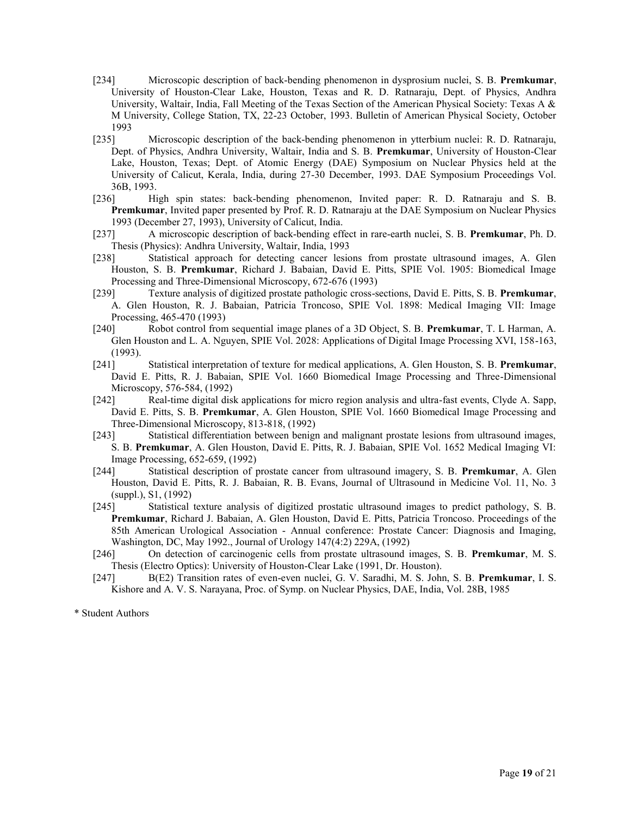- [234] Microscopic description of back-bending phenomenon in dysprosium nuclei, S. B. **Premkumar**, University of Houston-Clear Lake, Houston, Texas and R. D. Ratnaraju, Dept. of Physics, Andhra University, Waltair, India, Fall Meeting of the Texas Section of the American Physical Society: Texas A & M University, College Station, TX, 22-23 October, 1993. Bulletin of American Physical Society, October 1993
- [235] Microscopic description of the back-bending phenomenon in ytterbium nuclei: R. D. Ratnaraju, Dept. of Physics, Andhra University, Waltair, India and S. B. **Premkumar**, University of Houston-Clear Lake, Houston, Texas; Dept. of Atomic Energy (DAE) Symposium on Nuclear Physics held at the University of Calicut, Kerala, India, during 27-30 December, 1993. DAE Symposium Proceedings Vol. 36B, 1993.
- [236] High spin states: back-bending phenomenon, Invited paper: R. D. Ratnaraju and S. B. **Premkumar**, Invited paper presented by Prof. R. D. Ratnaraju at the DAE Symposium on Nuclear Physics 1993 (December 27, 1993), University of Calicut, India.
- [237] A microscopic description of back-bending effect in rare-earth nuclei, S. B. **Premkumar**, Ph. D. Thesis (Physics): Andhra University, Waltair, India, 1993
- [238] Statistical approach for detecting cancer lesions from prostate ultrasound images, A. Glen Houston, S. B. **Premkumar**, Richard J. Babaian, David E. Pitts, SPIE Vol. 1905: Biomedical Image Processing and Three-Dimensional Microscopy, 672-676 (1993)
- [239] Texture analysis of digitized prostate pathologic cross-sections, David E. Pitts, S. B. **Premkumar**, A. Glen Houston, R. J. Babaian, Patricia Troncoso, SPIE Vol. 1898: Medical Imaging VII: Image Processing, 465-470 (1993)
- [240] Robot control from sequential image planes of a 3D Object, S. B. **Premkumar**, T. L Harman, A. Glen Houston and L. A. Nguyen, SPIE Vol. 2028: Applications of Digital Image Processing XVI, 158-163, (1993).
- [241] Statistical interpretation of texture for medical applications, A. Glen Houston, S. B. **Premkumar**, David E. Pitts, R. J. Babaian, SPIE Vol. 1660 Biomedical Image Processing and Three-Dimensional Microscopy, 576-584, (1992)
- [242] Real-time digital disk applications for micro region analysis and ultra-fast events, Clyde A. Sapp, David E. Pitts, S. B. **Premkumar**, A. Glen Houston, SPIE Vol. 1660 Biomedical Image Processing and Three-Dimensional Microscopy, 813-818, (1992)
- [243] Statistical differentiation between benign and malignant prostate lesions from ultrasound images, S. B. **Premkumar**, A. Glen Houston, David E. Pitts, R. J. Babaian, SPIE Vol. 1652 Medical Imaging VI: Image Processing, 652-659, (1992)
- [244] Statistical description of prostate cancer from ultrasound imagery, S. B. **Premkumar**, A. Glen Houston, David E. Pitts, R. J. Babaian, R. B. Evans, Journal of Ultrasound in Medicine Vol. 11, No. 3 (suppl.), S1, (1992)
- [245] Statistical texture analysis of digitized prostatic ultrasound images to predict pathology, S. B. **Premkumar**, Richard J. Babaian, A. Glen Houston, David E. Pitts, Patricia Troncoso. Proceedings of the 85th American Urological Association - Annual conference: Prostate Cancer: Diagnosis and Imaging, Washington, DC, May 1992., Journal of Urology 147(4:2) 229A, (1992)
- [246] On detection of carcinogenic cells from prostate ultrasound images, S. B. **Premkumar**, M. S. Thesis (Electro Optics): University of Houston-Clear Lake (1991, Dr. Houston).
- [247] B(E2) Transition rates of even-even nuclei, G. V. Saradhi, M. S. John, S. B. **Premkumar**, I. S. Kishore and A. V. S. Narayana, Proc. of Symp. on Nuclear Physics, DAE, India, Vol. 28B, 1985

\* Student Authors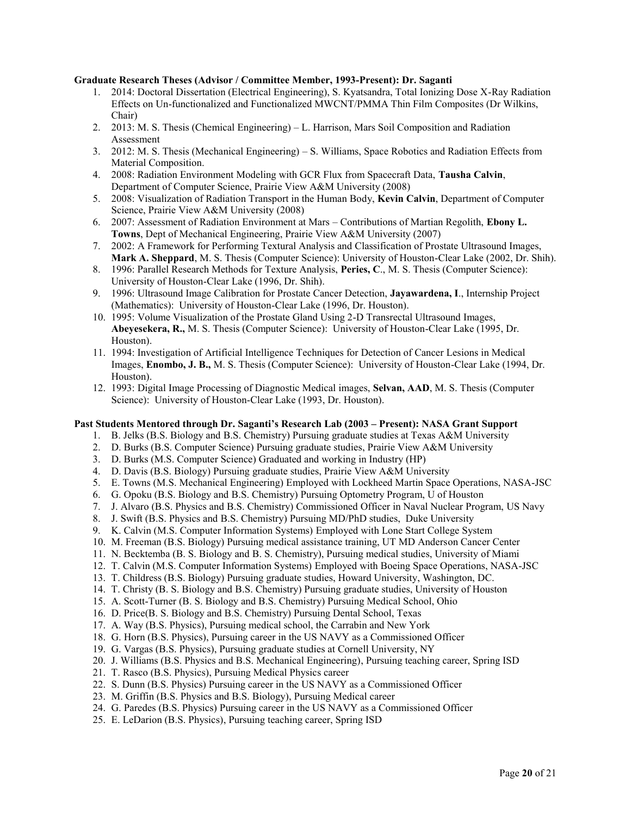#### **Graduate Research Theses (Advisor / Committee Member, 1993-Present): Dr. Saganti**

- 1. 2014: Doctoral Dissertation (Electrical Engineering), S. Kyatsandra, Total Ionizing Dose X-Ray Radiation Effects on Un-functionalized and Functionalized MWCNT/PMMA Thin Film Composites (Dr Wilkins, Chair)
- 2. 2013: M. S. Thesis (Chemical Engineering) L. Harrison, Mars Soil Composition and Radiation Assessment
- 3. 2012: M. S. Thesis (Mechanical Engineering) S. Williams, Space Robotics and Radiation Effects from Material Composition.
- 4. 2008: Radiation Environment Modeling with GCR Flux from Spacecraft Data, **Tausha Calvin**, Department of Computer Science, Prairie View A&M University (2008)
- 5. 2008: Visualization of Radiation Transport in the Human Body, **Kevin Calvin**, Department of Computer Science, Prairie View A&M University (2008)
- 6. 2007: Assessment of Radiation Environment at Mars Contributions of Martian Regolith, **Ebony L. Towns**, Dept of Mechanical Engineering, Prairie View A&M University (2007)
- 7. 2002: A Framework for Performing Textural Analysis and Classification of Prostate Ultrasound Images, **Mark A. Sheppard**, M. S. Thesis (Computer Science): University of Houston-Clear Lake (2002, Dr. Shih).
- 8. 1996: Parallel Research Methods for Texture Analysis, **Peries, C**., M. S. Thesis (Computer Science): University of Houston-Clear Lake (1996, Dr. Shih).
- 9. 1996: Ultrasound Image Calibration for Prostate Cancer Detection, **Jayawardena, I**., Internship Project (Mathematics): University of Houston-Clear Lake (1996, Dr. Houston).
- 10. 1995: Volume Visualization of the Prostate Gland Using 2-D Transrectal Ultrasound Images, **Abeyesekera, R.,** M. S. Thesis (Computer Science): University of Houston-Clear Lake (1995, Dr. Houston).
- 11. 1994: Investigation of Artificial Intelligence Techniques for Detection of Cancer Lesions in Medical Images, **Enombo, J. B.,** M. S. Thesis (Computer Science): University of Houston-Clear Lake (1994, Dr. Houston).
- 12. 1993: Digital Image Processing of Diagnostic Medical images, **Selvan, AAD**, M. S. Thesis (Computer Science): University of Houston-Clear Lake (1993, Dr. Houston).

#### **Past Students Mentored through Dr. Saganti's Research Lab (2003 – Present): NASA Grant Support**

- 1. B. Jelks (B.S. Biology and B.S. Chemistry) Pursuing graduate studies at Texas A&M University
- 2. D. Burks (B.S. Computer Science) Pursuing graduate studies, Prairie View A&M University
- 3. D. Burks (M.S. Computer Science) Graduated and working in Industry (HP)
- 4. D. Davis (B.S. Biology) Pursuing graduate studies, Prairie View A&M University
- 5. E. Towns (M.S. Mechanical Engineering) Employed with Lockheed Martin Space Operations, NASA-JSC
- 6. G. Opoku (B.S. Biology and B.S. Chemistry) Pursuing Optometry Program, U of Houston
- 7. J. Alvaro (B.S. Physics and B.S. Chemistry) Commissioned Officer in Naval Nuclear Program, US Navy
- 8. J. Swift (B.S. Physics and B.S. Chemistry) Pursuing MD/PhD studies, Duke University
- 9. K. Calvin (M.S. Computer Information Systems) Employed with Lone Start College System
- 10. M. Freeman (B.S. Biology) Pursuing medical assistance training, UT MD Anderson Cancer Center
- 11. N. Becktemba (B. S. Biology and B. S. Chemistry), Pursuing medical studies, University of Miami
- 12. T. Calvin (M.S. Computer Information Systems) Employed with Boeing Space Operations, NASA-JSC
- 13. T. Childress (B.S. Biology) Pursuing graduate studies, Howard University, Washington, DC.
- 14. T. Christy (B. S. Biology and B.S. Chemistry) Pursuing graduate studies, University of Houston
- 15. A. Scott-Turner (B. S. Biology and B.S. Chemistry) Pursuing Medical School, Ohio
- 16. D. Price(B. S. Biology and B.S. Chemistry) Pursuing Dental School, Texas
- 17. A. Way (B.S. Physics), Pursuing medical school, the Carrabin and New York
- 18. G. Horn (B.S. Physics), Pursuing career in the US NAVY as a Commissioned Officer
- 19. G. Vargas (B.S. Physics), Pursuing graduate studies at Cornell University, NY
- 20. J. Williams (B.S. Physics and B.S. Mechanical Engineering), Pursuing teaching career, Spring ISD
- 21. T. Rasco (B.S. Physics), Pursuing Medical Physics career
- 22. S. Dunn (B.S. Physics) Pursuing career in the US NAVY as a Commissioned Officer
- 23. M. Griffin (B.S. Physics and B.S. Biology), Pursuing Medical career
- 24. G. Paredes (B.S. Physics) Pursuing career in the US NAVY as a Commissioned Officer
- 25. E. LeDarion (B.S. Physics), Pursuing teaching career, Spring ISD